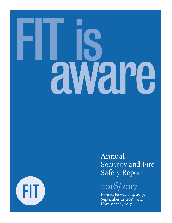# FIT is aware



Annual Security and Fire Safety Report

2016/2017

Revised February 14, 2017; September 12, 2017; and November 2, 2017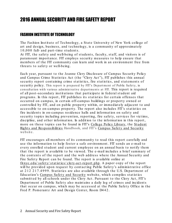# 2016 ANNUAL SECURITY AND FIRE SAFETY REPORT

# FASHION INSTITUTE OF TECHNOLOGY

The Fashion Institute of Technology, a State University of New York college of art and design, business, and technology, is a community of approximately 10,000 full- and part-time students.

At FIT, the safety and well-being of students, faculty, staff, and visitors is of paramount importance. FIT employs security measures to help ensure that members of the FIT community can learn and work in an environment free from threats to safety or well-being.

Each year, pursuant to the Jeanne Clery Disclosure of Campus Security Policy and Campus Crime Statistics Act (the "Clery Act"), FIT publishes this annual security report containing crime statistics, fire statistics, and statements of security policy. This report is prepared by FIT's Department of Public Safety, in consultation with various administrative departments at FIT. This report is required of all post-secondary institutions that participate in federal student aid programs. In this report, FIT publishes its statistics for certain offenses that occurred on campus, in certain off-campus buildings or property owned or controlled by FIT, and on public property within, or immediately adjacent to and accessible to on-campus property. The report also includes FIT's statistics on fire incidents in on-campus residence halls and information on safety and security topics including prevention, reporting, fire safety, services for victims, discipline, and other information. In addition to the information in this report, more on these topics can be found in FIT's College Policy Library, the Student Rights and Responsibilities Handbook, and FIT's Campus Safety and Security we b s it e .

FIT encourages all members of its community to read this report carefully and use the information to help foster a safe environment. FIT sends an e-mail to every enrolled student and current employee on an annual basis to notify them that the report is available to be viewed. The e-mail includes a brief summary of the contents of the report and the web address where the Annual Security and Fire Safety Report can be found. The report is available online at fit nyc.edu/ safety/ statistics/ clery-act-report.php. A paper copy of the report will be provided upon request by contacting Public Safety's administrative office at 212 217.4999. Statistics are also available through the U.S. Department of Education's Campus Safety and Security website, which compiles statistics submitted by all schools under the Clery Act. Pursuant to the Clery Act, FIT's Department of Public Safety also maintains a daily log of crimes and incidents that occur on campus, which may be accessed at the Public Safety Office in the Fred P. Pomerantz Art and Design Center, Room D442.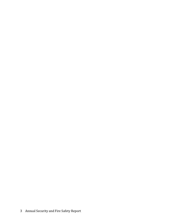# 3 Annual Security and Fire Safety Report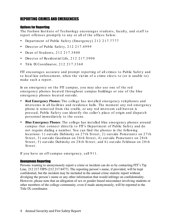# REPORTING CRIMES AND EMERGENCIES

### Options for Reporting

The Fashion Institute of Technology encourages students, faculty, and staff to report offenses promptly to any or all of the offices below:

- Department of Public Safety (Emergency) 212 217.7777
- Director of Public Safety, 212 217.4999
- Dean of Students,  $212217.3800$
- Director of Residential Life, 212 217.3900
- Title IX Coordinator,  $212217.3360$

FIT encourages accurate and prompt reporting of all crimes to Public Safety and to local law enforcement, when the victim of a crime elects to (or is unable to) make such a report .

In an emergency on the FIT campus, you may also use one of the red emergency phones located throughout campus buildings or one of the blue emergency phones located outside.

- **Red Emergency Phones:** The college has installed emergency telephones and intercoms in all facilities and residence halls. The moment any red emergency phone is removed from the cradle, or any red intercom call button is pressed, Public Safety can identify the caller's place of origin and dispatch pe rsonnel immediate ly to t he scene .
- **Blue Emergency Phones**: The college has installed blue emergency phones around campus that connect directly to FIT's Department of Public Safety and do not require dialing a number. You can find the phones in the following locations: 1) outside Dubinsky on 27th Street, 2) outside Pomerantz on 27th Street, 3) outside Goodman on 26th Street, 4) outside Pomerantz on 28th Street, 5) outside Dubinsky on 28th Street, and 6) outside Feldman on 28th Street.

If you have an off-campus emergency, call 9 1 1 .

### Anonymous Reporting

Persons wanting to anonymously report a crime or incident can do so by contacting FIT's Tip Line, 212 217.TIPS (212 217.8477). The reporting person's name, if provided, will be kept confidential, but the incident may be included in the annual crime statistic report without divulging the person's name or any other information that would infringe on confidentiality. However, please note that an allegation of sex or gender-based misconduct involving students or other members of the college community, even if made anonymously, will be reported to the Title IX coordinator.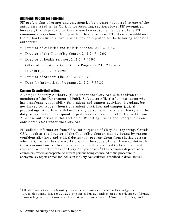### Additional Options for Reporting

FIT prefers that all crimes and emergencies be promptly reported to one of the authorities listed in the Options for Reporting section above. FIT recognizes, however, that depending on the circumstances, some members of the FIT community may choose to report to other persons or FIT officials. In addition to the authorities listed above, crimes may be reported to the following additional aut horit ies:

- Director of Athletics and athletic coaches, 212 217.4210
- Director of the Counseling Center, 212 217.4260
- Director of Health Services, 212 217.4190
- Office of Educational Opportunity Programs, 212 217.4170
- FIT-ABLE, 212 217.4090
- Director of Student Life, 212 217.4130
- Dean for International Programs, 212 217.5380

### Campus Security Authorities

A Campus Security Authority (CSA) under the Clery Act is, in addition to all members of the Department of Public Safety, an official of an institution who has significant responsibility for student and campus activities, including, but not limited to, student housing, student discipline, and campus judicial proceedings. An official is defined as any person who has the authority and the duty to take action or respond to particular issues on behalf of the institution. All of the authorities in this section on Reporting Crimes and Emergencies are considered CSAs under the Clery Act .

FIT collects information from CSAs for purposes of Clery Act reporting. Certain CSAs, such as the director of the Counseling Center, may be bound by various confident iality laws and ethical duties that prevent them from sharing certain information when they are working within the scope of their licensed duties. In these circumstances, these personnel are not considered CSAs and are not required to report crimes for Clery Act purposes.<sup>1</sup> FIT encourages its professional counselors, where appropriate, to inform persons being counseled of the procedure to anonymously report crimes for inclusion in Clery Act statistics (described in detail above).

<sup>&</sup>lt;sup>1</sup> FIT also has a Campus Ministry; persons who are associated with a religious order/ denomination, recognized by that order/ denomination as providing confidential counseling and functioning within that scope are also not CSAs per the Clery Act.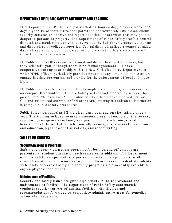# DEPARTMENT OF PUBLIC SAFETY AUTHORITY AND TRAINING

FIT's Department of Public Safety is staffed 24 hours a day, 7 days a week, 365 days a year. Its officers utilize foot patrol and approximately 100 closed-circuit security cameras to observe and report situations or activities that may pose a danger to persons or property. The Department of Public Safety staffs a central dispatch and monitoring center that serves as the hub for emergency call taking and dispatch to all college properties. Central dispatch utilizes a computer-aided dispatch system and communicates with public safety officers via a state-ofthe-art mobile radio system.

FIT Public Safety Officers are not armed and do not have police powers, but t hey will assist you. Alt hough t here is no formal agreement , FIT has a cooperative working relationship with the New York City Police Department in which NYPD officers periodically patrol campus roadways, maintain public order, engage in crime prevention, and provide for the enforcement of local and state laws.

FIT Public Safety officers respond to all complaints and emergencies occurring on campus. If warranted, FIT Public Safety will contact emergency services for police/ fire/ EMS response. All FIT Public Safety officers have received first aid, CPR and automated external defibrillator (AED) training in addition to instruction in campus public safety procedures.

Public Safety personnel at FIT are given classroom and on-site training once a year. This training includes security awareness presentation, role of the security supervisor, emergency situations, campus community relations, sexual harassment at the workplace, safe zone ally training, sexual assault prevention and educat ion, legal power of limit at ions, and report writ ing.

## SAFETY ON CAMPUS

### Security Awareness Programs

Safety and security awareness programs for both on and off campus are presented at student orientation each semester. In addition, FIT's Department of Public safety also presents campus safety and security programs to all resident assistants each semester to prepare them to assist residential students with safety concerns. Safety and security programs are also readily available to any employees upon request.

### Maintenance of Facilities

Security and safety issues are given high priority in the improvement and maintenance of facilities. The Department of Public Safety continuously conducts security surveys of existing facilities, with findings and recommendations forwarded to appropriate administrative areas for remedial act ion when necessary.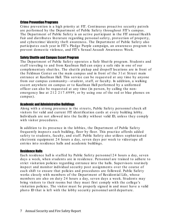### Crime Prevention Programs

Crime prevention is a high priority at FIT. Continuous proactive security patrols are performed by the Department of Public Safety throughout FIT's campus. The Department of Public Safety is an active participant in the FIT annual Health Fair and distributes literature regarding personal safety, protection of property, and cybercrime/ identity theft awareness. The Department of Public Safety also participates each year in FIT's Pledge Purple campaign, an awareness program to prevent domestic violence, and FIT's Sexual Assault Awareness Week.

### Safety Shuttle and Campus Escort Program

The Department of Public Safety operates a Safe Shuttle program. Students and staff traveling to and from Kaufman Hall can enjoy a safe ride in one of our complementary shuttles. The shuttle pickup and dropoff locations are in front of the Feldman Center on the main campus and in front of the 31st Street main entrance at Kaufman Hall. This service can be requested at any time by anyone from our campus community-student, staff, or faculty. In addition, a walking escort anywhere on campus or to Kaufman Hall performed by a uniformed officer can also be requested at any time (in person, by calling the nonemergency line at 212 217.4999, or by using one of the red or blue phones on campus).

### Academic and Administrative Buildings

Along with a strong presence in the streets, Public Safety personnel check all visit ors for valid and current FIT ident ificat ion cards at every building lobby. Individuals are not allowed into the facility without valid ID, unless they comply with visit or procedures.

In addition to its presence in the lobbies, the Department of Public Safety frequently inspects each building, floor by floor. This practice affords added safety to students, faculty, and staff. Public Safety also utilizes sophisticated electronic equipment 24 hours a day, seven days per week to videotape all entries into residence halls and academic buildings.

### Residence Halls

Each residence hall is staffed by Public Safety personnel 24 hours a day, seven days a week, when students are in residence. Personnel are trained to adhere to strict visitation policies regarding entrance into the halls. Supervisors routinely inspect and monitor individual security post assignments over the course of each shift to ensure that policies and procedures are followed. Public Safety works closely with members of the Department of Residential Life, whose members are also on duty 24 hours a day, seven days a week. Students may bring visitors to their rooms but they must first comply with the college's visit at ion policies. The visit or must be properly signed in and must have a valid photo ID that is left with the lobby security personnel until departure.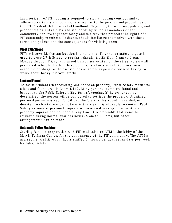Each resident of FIT housing is required to sign a housing contract and to adhere to its terms and conditions as well as to the policies and procedures of the FIT Resident Hall Residential Handbook. Together, these terms, policies, and procedures establish rules and standards by which all members of the community can live together safely and in a way that protects the rights of all FIT community members. Residents should familiarize themselves with these terms and policies and the consequences for violating them.

### West 27th Street

FIT's midtown Manhattan location is a busy one. To enhance safety, a gate is used to close 27th Street to regular vehicular traffic from 7 am to 6 pm, Monday through Friday, and speed bumps are located on the street to slow all permitted vehicular traffic. These conditions allow students to cross from academic buildings to their residences as safely as possible without having to worry about heavy midtown traffic.

### Lost and Found

To assist students in recovering lost or stolen property, Public Safety maintains a lost and found area in Room D4 4 2 . Many personal it ems are found and brought to the Public Safety office for safekeeping. If the owner can be det ermined, the person will be contacted to retrieve the property. Unclaimed personal propert y is kept for 3 0 days before it is dest royed, discarded, or donated to charitable organizations in the area. It is advisable to contact Public Safety as soon as personal property is discovered missing. Lost or stolen property inquiries can be made at any time. It is preferable that items be retrieved during normal business hours (8 am to 11 pm), but other arrangements can be made.

### Automatic Teller Machine

Sterling Bank, in cooperation with FIT, maintains an ATM in the lobby of the Marvin Feldman Center, for the convenience of the FIT community. The ATM is in a secure, well-lit lobby that is staffed 24 hours per day, seven days per week by Public Safety.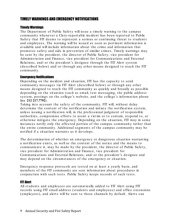# TIMELY WARNINGS AND EMERGENCY NOTIFICATIONS

### Timely Warnings

The Department of Public Safety will issue a timely warning to the campus community whenever a Clery-reportable incident has been reported to Public Safety that FIT deems to represent a serious or continuing threat to students and employees. The warning will be issued as soon as pertinent information is available and will include information about the crime and information that promotes safety and aids in prevention of similar crimes. Timely warnings may be sent by the president, the director of Public Safety, vice president for Administration and Finance, vice president for Communications and External Relations, and/ or the president's designee through the FIT Alert system (described below) and/ or through any other means designed to reach the FIT communit y.

### Emergency Notifications

Depending on the incident and situation. FIT has the capacity to send communit y message s via FIT Alert (described below) or t hrough any ot her means designed to reach the FIT community as quickly and broadly as possible depending on the situation (such as email, text messaging, the public address system, postings on the college's website, and the college's information phone line **212 217.7792**).

Taking into account the safety of the community, FIT will, without delay determine the content of the notification and initiate the notification system, unless issuing a not ificat ion will, in t he professional judgment of responsible authorities, compromise efforts to assist a victim or to contain, respond to, or otherwise mitigate the emergency. Depending on the situation, FIT may in some instances notify only the affected portion of the campus community rather than the entire community. Additional segments of the campus community may be not ified if a situation warrants as it develops.

The determination of whether an emergency or dangerous situation warranting a notification exists, as well as the content of the notice and the means to communicate it, may be made by the president, the director of Public Safety, vice president for Administration and Finance, vice president for Communications and External Relations, and/ or the president's designee and may depend on the circumstances of the emergency or situation.

Emergency response protocols are tested on at least a yearly basis, and members of the FIT community are sent information about procedures in conjunction with such tests. Public Safety keeps records of such tests.

### FIT Alert

All students and employees are automatically added to FIT Alert using FIT records using FIT email address (students and employees) and office extensions (employees), and alerts will be sent to those channels by default. Alerts can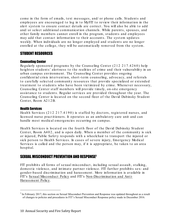come in the form of emails, text messages, and/ or phone calls. Students and employees are encouraged to log in to MyFIT to review their information in the alert system to ensure contact details are correct. You will also be able to add and/ or select additional communication channels. While parents, spouses, and other family members cannot enroll in the program, students and employees may add that contact information to their accounts. The system updates weekly. When individuals are no longer employed and students are no longer enrolled at the college, they will be automatically removed from the system.

# STUDENT RESOURCES

### Counseling Center

Regularly sponsored programs by the Counseling Center  $(212 217.4260)$  help height en students' alertness to the realities of crime and their vulnerability in an urban campus environment. The Counseling Center provides ongoing confident ial crisis int ervent ion, short-t erm counseling, advocacy, and referrals to carefully selected community resources that provide specialized or extended treatment to students who have been victimized by crime. Whenever necessary, Counseling Center staff members will provide timely, on-site emergency assistance to students. Regular services are provided throughout the year. The Counseling Center is located on the second floor of the David Dubinsky Student Center, Room A212B.

### Health Services

Health Services (212 217.4190) is staffed by doctors, registered nurses, and licensed nurse practitioners. It operates as an ambulatory care unit and can handle most medical emergencies occurring on campus.

Health Services is located on the fourth floor of the David Dubinsky Student Center, Room A402, and is open daily. When a member of the community is sick or injured, Public Safety responds with a wheelchair to transport the injured or sick person to Health Services. In cases of severe injury, Emergency Medical Services is called and the person may, if it is appropriate, be taken to an area hospit al.

# SEXUAL MISCONDUCT PREVENTION AND RESPONSE2

FIT prohibits all forms of sexual misconduct, including sexual assault, stalking, domestic violence, and intimate partner violence. FIT further prohibits sex- and gender-based discriminat ion and harassment . More informat ion is available in FIT's Sexual Misconduct Policy and FIT's Non-Discriminat ion and Ant i-Harassment Policy.

 $2$  In February 2017, this section on Sexual Misconduct Prevention and Response was updated throughout as a result of changes to policies and procedures in FIT's Sexual Misconduct Response policy made in December 2016.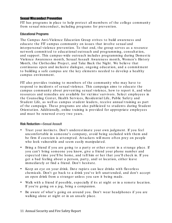### Sexual Misconduct Prevention

FIT has programs in place to help protect all members of the college community from sexual misconduct, including programs for prevention.

### Educational Programs

The Campus Anti-Violence Education Group strives to build awareness and educate the FIT campus community on issues that involve sexual and interpersonal violence prevention. To that end, the group serves as a resource net work committed to educational outreach and programming, consultation, and support. This campus-wide outreach includes programming during Domestic Violence Awareness month, Sexual Assault Awareness month, Women's History Month, the Clothesline Project, and Take Back the Night. We believe that cont inuous open and inclusive dialogue, ongoing educat ion, and a commit ment to building a safe campus are the key elements needed to develop a healthy campus environment .

FIT also provides training to members of the community who may have to respond to incidents of sexual violence. This campaign aims to educate the campus community about preventing sexual violence, how to report it, and what resources and remedies are available for vict ims/ survivors. Select employees in the Counseling Center, Health Services, Residential Life, Public Safety and Student Life, as well as campus student leaders, receive annual training as part of the campaign. These programs are also publicized to students during Student Orient at ion. Additionally, online training is provided for appropriate employees and must be renewed every two years.

### Risk Reduction—Sexual Assault

- Trust your instincts. Don't underestimate your own judgment. If you feel uncomfortable in someone's company, avoid being secluded with them and be firm if coercion is attempted. Attackers will more often prey on people who look vulnerable and seem easily manipulated.
- Bring a friend if you are going to a party or other event in a strange place. If you can't bring someone you know, give a friend your phone number and expected time you'll be home, and tell him or her that you'll check in. If you get a bad feeling about a person, part y, and/ or locat ion, eit her leave immediately or find a friend. Don't hesitate.
- Keep an eye on your drink. Date rapists can lace drinks with flavorless chemicals. Don't go back to a drink you've left unattended, and don't accept an open drink from a stranger unless you saw it being made.
- Walk with a friend if possible, especially if its at night or in a remote location. If you're going on a jog, bring a companion.
- Be aware of what 's going on around you. Don't wear headphones if you are walking alone at night or in an unsafe place.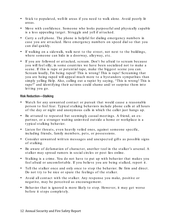- Stick to populated, well-lit areas if you need to walk alone. Avoid poorly lit areas.
- Move with confidence. Someone who looks purposeful and physically capable is a less appealing target. Struggle and yell if attacked.
- Carry a cell phone. The phone is helpful for dialing emergency numbers in case you are attacked. Have emergency numbers on speed dial so that you can dial quickly.
- If walking on a sidewalk, walk next to the street, not next to the buildings, where someone can hide in a doorway, alleyway, etc.
- If you are followed or attacked, scream. Don't be afraid to scream because you will feel silly; in some countries we have been socialized not to make a scene. If this is rape or potential rape, make the biggest scene you can. Scream loudly, I'm being raped! This is wrong! This is rape! Screaming that you are being raped will appeal much more to a bystanders sympathies than simply yelling Help. Also, calling out a rapist by saying, "This is wrong! This is rape!" and identifying their actions could shame and/ or surprise them into  $letting you go.$

### Risk Reduction—Stalking

- Watch for any unwanted contact or pursuit that would cause a reasonable person to feel fear. Typical stalking behaviors include phone calls at all hours of the day or night and anonymous calls in which the caller just hangs up.
- Be attuned to repeated but seemingly casual meetings. A friend, an expartner, or a stranger waiting uninvited outside a home or workplace is a t ypical st alking behavior.
- Listen for threats, even heavily veiled ones, against someone specific, including friends, family members, pets, or possessions.
- Consider unwanted written messages and unexpected gifts as possible signs of stalking.
- Be aware of defamation of character, another tool in the stalker's arsenal. A st alker may spread rumors in social circles or post lies online.
- Stalking is a crime. You do not have to put up with behavior that makes you feel afraid or uncomfortable. If you believe you are being stalked, report it.
- Tell the stalker once and only once to stop the behavior. Be firm and direct. Do not try to be nice or spare the feelings of the stalker.
- Avoid all contact with the stalker. Any response you make, positive or negative, may be perceived as encouragement.
- Behavior that is ignored is more likely to stop. However, it may get worse before it stops completely.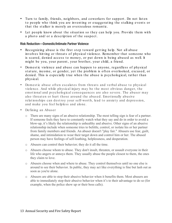- Turn to family, friends, neighbors, and coworkers for support. Do not listen to people who think you are inventing or exaggerating the stalking events or that the stalker is merely an overzealous romantic.
- Let people know about the situation so they can help you. Provide them with a photo and/ or a description of the suspect.

### Risk Reduction—Domestic/Intimate Partner Violence

- Recognizing abuse is the first step toward getting help. Not all abuse involves hitting or threats of physical violence. Remember that someone who is scared, denied access to money, or put down is being abused as well. It might be you, your parent, your brother, your child, a friend.
- Domestic violence and abuse can happen to anyone, regardless of physical stature, income, or gender, yet the problem is often overlooked, excused, or denied. This is especially true when the abuse is psychological, rather than physical.
- Domestic abuse often escalates from threats and verbal abuse to physical violence. And while physical injury may be the most obvious danger, the emot ional and psychological consequences are also severe. The abuser may also threaten or hurt those around the abused. Emotionally abusive relationships can destroy your self-worth, lead to anxiety and depression, and make you feel helpless and alone.
- Defining an Abuser
	- o There are many signs of an abusive relationship. The most telling sign is fear of a partner. If someone feels they have to constantly watch what they say and do in order to avoid a blow-up, it's likely the relationship is unhealthy and abusive. Other signs of an abusive relationship include when someone tries to belittle, control, or isolate his or her partner from family members and friends. An abuser doesn't "play fair." Abusers use fear, guilt, shame, and intimidation to wear their target down and control him or her. The abused person may have feelings of self-loathing, helplessness, and desperation.
	- o Abusers can control their behavior; they do it all the time.
	- o Abusers choose whom to abuse. They don't insult, threaten, or assault everyone in their life who angers or annoys them. They usually abuse the people closest to them, the ones they claim to love.
	- o Abusers choose when and where to abuse. They control themselves until no one else is around to see their behavior. In public, they may act like everything is fine but lash out as soon as you're alone.
	- o Abusers are able to stop their abusive behavior when it benefits them. Most abusers are able to immediately stop their abusive behavior when it's to their advantage to do so (for example, when the police show up or their boss calls).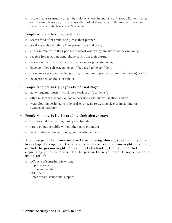- o Violent abusers usually direct their blows where the marks won't show. Rather than act out in a mindless rage, many physically violent abusers carefully aim their kicks and punches where the bruises can't be seen.
- People who are being abused may:
	- o seem afraid of or anxious to please their partner;
	- o go along with everything their partner says and does;
	- o check in often with their partner to report where they are and what they're doing;
	- o receive frequent, harassing phone calls from their partner;
	- o talk about their partner's temper, jealousy, or possessiveness;
	- o have very low self-esteem, even if they used to be confident;
	- o show major personality changes (e.g., an outgoing person becomes withdrawn); and/or
	- o be depressed, anxious, or suicidal.
- People who are being physically abused may:
	- o have frequent injuries, which they explain as "accidents";
	- o often miss work, school, or social occasions without explanation; and/or
	- o wear clothing designed to hide bruises or scars (e.g., long sleeves in summer or sunglasses indoors).
- People who are being isolated by their abuser may:
	- o be restricted from seeing family and friends;
	- o rarely go out in public without their partner; and/or
	- o have limited access to money, credit cards, or the car.
- If you suspect that someone you know is being abused, speak up! If you're hesitating thinking that it's none of your business, that you might be wrong, or that the person might not want to talk about it, keep in mind that expressing your concern will let the person know you care. It may even save his or her life.
	- o DO: Ask if something is wrong. Express concern. Listen and validate. Offer help. Refer for assistance and support.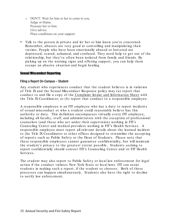- o DON'T: Wait for him or her to come to you. Judge or blame. Pressure her or him. Give advice. Place conditions on your support.
- Talk to the person in private and let her or him know you're concerned. Remember, abusers are very good at controlling and manipulating their victims. People who have been emotionally abused or battered are depressed, scared, ashamed, and confused. They need help to get out of the relationship, but they've often been isolated from family and friends. By picking up on the warning signs and offering support, you can help them escape an abusive sit uat ion and begin healing.

### Sexual Misconduct Reporting

### Filing a Report On-Campus – Student

Any student who experiences conduct that the student believes is in violation of Tit le IX and t he Sexual Misconduct Response policy may (a) report that conduct to and file a copy of the Complaint Intake and Information Sheet with the Title IX Coordinator; or  $(b)$  report that conduct to a responsible employee.

A responsible employee is an FIT employee who has a duty to report incidents of sexual misconduct or who a st udent could reasonably believe has t his authority or duty. This definition encompasses virtually every FIT employee, including all faculty, staff, and administrators with the exception of professional counselors (and those who act under their supervision) working in FIT's Counseling Center and medical providers working in FIT's Health Services. A responsible employee must report all relevant details about the learned incident to the Title IX Coordinator or other offices designed to streamline the accepting of reports such as Public Safety or the Dean of Students. Please note that these responsible employees cannot guarantee confidentiality, but will maintain the student's privacy to the greatest extent possible. Students seeking to report confidentially should contact FIT's Counseling Center and/ or FIT Health Services.

The student may also report to Public Safety or local law enforcement for legal action if the conduct violates New York State or local laws. FIT can assist students in making such a report, if the student so chooses. Both of these processes can happen simultaneously. Students also have the right to decline to notify law enforcement.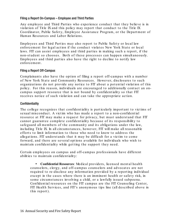### Filing a Report On-Campus – Employee and Third Parties

Any employee and Third Parties who experience conduct that they believe is in violation of Title IX and this policy may report that conduct to the Title IX Coordinator, Public Safety, Employee Assistance Program, or the Department of Human Resources and Labor Relat ions.

Employees and Third Parties may also report to Public Safety or local law enforcement for legal action if the conduct violates New York State or local laws. FIT can assist employees and third parties in making such a report, if the non-student so chooses. Both of these processes can happen simultaneously. Employees and third parties also have the right to decline to notify law enforcement.

### Filing a Report Off-Campus

Complainants also have the option of filing a report off-campus with a number of New York State and Community Resources. However, disclosures to such organizations do not provide any notice to FIT about a potential violation of this policy. For this reason, individuals are encouraged to additionally contact an oncampus support resource that is not bound by confident iality so that FIT receives notice of such violation and can take the appropriate action.

### **Confidentiality**

The college recognizes that confidentiality is particularly important to victims of sexual misconduct. A victim who has made a report to a non-confidential resource at FIT may make a request for privacy, but must understand that FIT cannot guarantee complete confident iality because of its responsibility to safeguard all members of the community and its obligations under the law, including Tit le IX. In all circumst ances, however, FIT will make all reasonable efforts to limit information to those who need to know to address the allegations. FIT understands that it may be difficult for a victim to come forward, and there are several options available for individuals who wish to maintain confidentiality while getting the support they need.

Cert ain employees on campus and off-campus professionals have different abilities to maintain confidentiality:

• **Confidential Resources**: Medical providers, licensed ment al healt h counselors, clergy, and off-campus counselors and advocates are not required to re-disclose any information provided by a reporting individual except in the cases where there is an imminent health or safety risk, in some circumstances involving a child, or a lawfully issued subpoena. Confidential resources on the FIT campus are the FIT Counseling Center, FIT Health Services, and FIT's anonymous tips line (all described above in this report).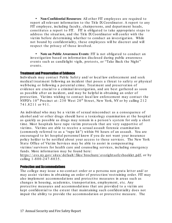• **Non-Confidential Resources**: All ot her FIT employees are required t o report all relevant information to the Title IX Coordinator. A report to any FIT employee, including faculty, chairpersons, and department heads, constitutes a report to FIT. FIT is obligated to take appropriate steps to address the situation, and the Title IX Coordinator will confer with the vict im before det ermining whether to conduct an investigation. While not bound by confident ialit y, t hese employees will be discreet and will respect the privacy of those involved.

• Note on Public Awareness Events: FIT is not obligated to conduct an invest igat ion based on informat ion disclosed during public awareness events such as candlelight vigils, protests, or "Take Back the Night" events.

### Treatment and Preservation of Evidence

Individuals may contact Public Safety and/ or local law enforcement and seek medical treatment following an incident that poses a threat to safety or physical well-being or following a potential crime. Treatment and preservation of evidence are crucial to a criminal investigation, and are best gathered as soon as possible after an incident, and may be helpful in obtaining an order of protection. Victims wishing to contact local law enforcement may contact the NYPD's  $10^{th}$  Precinct at: 230 West  $20^{th}$  Street, New York, NY or by calling 212 741.8211 or 911.

An individual who may be a vict im of sexual misconduct as a consequence of alcohol and/ or other drugs should have a toxicology examination at the hospital as quickly as possible as drugs may remain in a person's system for only a short time. Most hospitals have rape victim protocols that are very supportive of victims. Victims are able to receive a sexual assault forensic examination (commonly referred to as a "rape kit") within 96 hours of an assault. You are encouraged to let hospital personnel know if you do not want your insurance policy holder to be notified about your access to these services. The New York State Office of Victim Services may be able to assist in compensating victims/ survivors for health care and counseling services, including emergency funds. More information may be found here:

https://ovs.ny.gov/sites/default/files/brochure/ovsrightsofcvbooklet.pdf, or by calling 1 -800 -247 -8035.

### Protection and Accommodations

The college may issue a no-contact order or a persona non grata letter and/or may assist victims in obtaining an order of protection/ restraining order. FIT may also implement accommodations and protective measures in areas such as changes in housing, academics, transportation, employment, etc. Any protective measures and accommodations that are provided to a victim are kept confident ial to the extent that maintaining such confident iality does not impair the ability to provide the accommodation or protective measure. The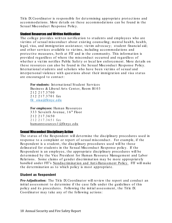Title IX Coordinator is responsible for determining appropriate protections and accommodations. More details on these accommodations can be found in the Sexual Misconduct Response Policy.

### Student Resources and Written Notification

The college provides written notification to students and employees who are victims of sexual misconduct about existing counseling; mental health, health, legal, visa, and immigration assistance; victim advocacy; student financial aid; and other services available to victims, including accommodations and protective measures, both at FIT and in the community. This information is provided regardless of where the misconduct occurred and regardless of whether a victim notifies Public Safety or local law enforcement. More details on these resources can also be found in the Sexual Misconduct Response Policy. International students and scholars who have been victims of sexual and interpersonal violence with questions about their immigration and visa status are encouraged to contact:

For students: International Student Services Business & Liberal Arts Center, Room B103 212 217.3700 212 217.3701 fax fit  $o$  is a  $@$  fit nyc.edu

**For employees:** Human Resources 333 Seventh Avenue,  $16<sup>th</sup>$  Floor 212 217.3650 212 217.3651 fax humanresources1 @fit nyc.edu

### Sexual Misconduct Disciplinary Action

The status of the Respondent will determine the disciplinary procedures used in response to a complaint or report of sexual misconduct. For example, if the Respondent is a student, the disciplinary procedures used will be those delineated for students in the Sexual Misconduct Response policy. If the Respondent is an employee, the appropriate disciplinary procedures will be determined by the Vice President for Human Resource Management and Labor Relations. Some claims of gender discrimination may be more appropriately handled under FIT's Nondiscriminat ion and Ant i-Harassment Policy. FIT will make the determination as to which policy is most appropriate.

### Student as Respondent

**Pre-Adjudication:** The Title IX Coordinator will review the report and conduct an initial assessment to determine if the case falls under the guidelines of this policy and its procedures. Following the initial assessment, the Title IX Coordinator may take any of the following actions: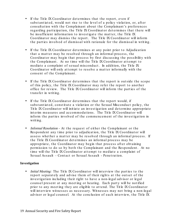- If the Title IX Coordinator determines that the report, even if substantiated, would not rise to the level of a policy violation, or, after consultation with the Complainant about the Complainant's preferences regarding participation, the Title IX Coordinator determines that there will be insufficient information to investigate the matter, the Title IX Coordinat or may dismiss t he report . The Tit le IX Coordinat or will inform the parties involved of dismissal with rationale for the dismissal in writing.
- If the Title IX Coordinator determines at any point prior to Adjudication that a matter may be resolved through an informal process, the Coordinator may begin that process by first discussing the possibility with the Complainant. At no time will the Title IX Coordinator attempt to mediate a complaint of sexual misconduct. In addition, the Title IX Coordinator will only attempt to resolve a matter informally with the consent of the Complainant.
- If the Title IX Coordinator determines that the report is outside the scope of this policy, the Title IX Coordinator may refer the report to another office for review. The Title IX Coordinator will inform the parties of the t ransfer in writ ing.
- If the Title IX Coordinator determines that the report would, if substantiated, constitute a violation or the Sexual Misconduct policy, the Title IX Coordinator will initiate an investigation and determine appropriate interim measures and accommodations. The Title IX Coordinator will inform the parties involved of the commencement of the investigation in writ ing.
- Informal Resolution At the request of either the Complainant or the Respondent any time prior to adjudication, the Title IX Coordinator will assess whether a matter may be resolved through an informal process. If t he Tit le IX Coordinat or det ermines an informal process may be appropriate, the Coordinator may begin that process after obtaining permission to do so by both the Complainant and the Respondent. At no time will the Title IX Coordinator attempt to mediate a complaint of Sexual Assault – Contact or Sexual Assault - Penetration.

### **Investigation**

• Initial Meeting: The Title IX Coordinator will interview the parties to the report separately and advise them of their rights at the outset of the investigation including their right to have a non-legal advisor or legal counsel present at any meeting or hearing. Each party will be notified prior to any meeting they are eligible to attend. The Title IX Coordinator will interview witnesses as necessary. Witnesses may not bring a non-legal advisor or legal counsel. At the conclusion of each interview, the Title IX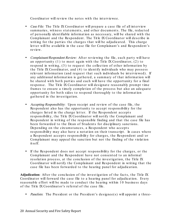Coordinator will review the notes with the interviewee.

- Case File: The Title IX Coordinator will prepare a case file of all interview summaries, witness statements, and other documents. The file, redacted of personally ident ifiable informat ion as necessary, will be shared wit h t he Complainant and the Respondent. The Title IX Coordinator will describe in writing for the parties the charges that will be adjudicated. This charge letter will be available in the case file for Complainant's and Respondent's review.
- Complainant/Respondent Review: After reviewing the file, each party will have an opportunity  $(1)$  to meet again with the Title IX Coordinator,  $(2)$  to respond in writing,  $(3)$  to request the collection of other information by the Title IX Coordinator, and (4) to identify individuals who may possess relevant information (and request that such individuals be interviewed). If any additional information is gathered, a summary of that information will be shared with both parties and each will have the opportunity for a final response. The Title IX Coordinator will designate reasonably prompt time frames to ensure a timely completion of the process but also an adequate opportunity for both sides to respond thoroughly to the information gat hered in t he invest igat ion.
- Accepting Responsibility. Upon receipt and review of the case file, the Respondent also has the opportunity to accept responsibility for the charges listed in the charge letter. If the Respondent accepts responsibility, the Title IX Coordinator will notify the Complainant and Respondent in writing of the responsible finding and that the case file has been forwarded to the Dean of Students for disciplinary sanctions. Depending on the circumstances, a Respondent who accepts responsibility may also have a notation on their transcript. In cases where a Respondent accepts responsibility for charges, the Respondent and/ or Complainant may appeal the sanction but not the finding of the violation it self.
- If the Respondent does not accept responsibility for the charges, or the Complainant and the Respondent have not consented to an informal resolution process, at the conclusion of the investigation, the Title IX Coordinat or will not ify t he Complainant and Respondent in writ ing t hat t he case file has been forwarded to the hearing panel for adjudication.

**Adjudication:** After the conclusion of the investigation of the facts, the Title IX Coordinator will forward the case file to a hearing panel for adjudication. Every reasonable effort will be made to conduct the hearing within 10 business days of the Title IX Coordinator's referral of the case file.

• Panelists: The President or the President's designee(s) will appoint a three-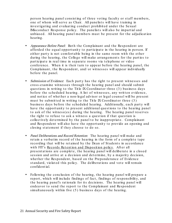person hearing panel consisting of three voting faculty or staff members, one of whom will serve as Chair. All panelists will have training in investigating and evaluating conduct prohibited under the Sexual lMisconduct Response policy. The panelists will also be impartial and unbiased. All hearing panel members must be present for the adjudication hearing.

- Appearance Before Panel: Both the Complainant and the Respondent are afforded the equal opportunity to participate in the hearing in person. If either party is not comfortable being in the same room with the other during the hearing, the College will make arrangements for the parties to participate in real time in separate rooms via telephone or video conference. When it is their turn to appear before the hearing panel, the Complainant, the Respondent, and/ or witnesses will appear individually before the panel.
- Submission of Evidence: Each party has the right to present witnesses and cross-examine wit nesses t hrough t he hearing panel and should submit questions in writing to the Title IX Coordinator three (3) business days before the scheduled hearing. A list of witnesses, any written evidence, and not ice of whet her a non-legal advisor or legal counsel will be present must be submitted in writing to the Title IX Coordinator three  $(3)$ business days before the scheduled hearing. Additionally, each party will have the opportunity to present additional questions to the hearing panel to ask of the witness(es) during the hearing. The hearing panel reserves the right to refuse to ask a witness a question if that question is collectively determined by the panel to be inappropriate. Complainant and Respondent will also have the opportunity to provide an opening and closing statement if they choose to do so.
- Panel Deliberations and Record Retention: The hearing panel will make and retain a verbatim record of the hearing in the form of a complete tape recording that will be retained by the Dean of Students in accordance with FIT's Records Retention and Disposition policy. After all presentations are complete, the hearing panel will deliberate in a closed session and arrive at a decision and determine, by a majority decision, whether the Respondent, based on the Preponderance of Evidence standard, violated this policy. The deliberations and vote will remain confident ial.
- Following the conclusion of the hearing, the hearing panel will prepare a report, which will include findings of fact, findings of responsibility, and the hearing panel's rationale for its decisions. The hearing panel will endeavor to send the report to the Complainant and Respondent simultaneously within five (5) business days of the hearing.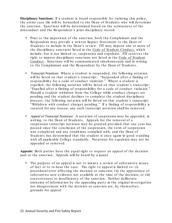**Disciplinary Sanctions:** If a student is found responsible for violating this policy, the entire case file will be forwarded to the Dean of Students who will determine the sanction. Sanctions will be determined based on the seriousness of the misconduct and the Respondent's prior disciplinary record.

- Prior to the imposition of the sanction, both the Complainant and the Respondent may provide a written Impact Statement to the Dean of Students to include in the Dean's review. FIT may impose one or more of the disciplinary sanctions listed in the Code of Student Conduct, which include, but is not limited to, suspension and expulsion. FIT reserves the right to impose disciplinary sanctions not listed in the Code of Student Conduct. Sanctions will be communicated simultaneously and in writing to the Complainant and the Respondent by the Dean of Students.
- Transcript Notations: Where a student is suspended, the following notation will be listed on that student's transcript: "Suspended after a finding of responsibility for a code of conduct violation." Where a student is expelled, the following notation will be listed on that student's transcript: "Expelled after a finding of responsibility for a code of conduct violation." Should a student withdraw from the College while conduct charges are pending and the student declines to complete the student disciplinary process, the following notation will be listed on that student's transcript: "Withdrew with conduct charges pending." If a finding of responsibility is vacated for any reason, any such transcript notation shall be removed.
- Appeal of Transcript Notations: A notation of suspension may be appealed, in writing, to the Dean of Students. Appeals for the removal of a suspension transcript notation may be granted provided that one year has passed since the conclusion of the suspension, the term of suspension was completed and any conditions complied with, and the Dean of Students has determined that the student is once again in good standing with all applicable College standards. Notations for expulsion may not be appealed or removed.

Appeals: Both parties have the equal right to request an appeal of the decision and/ or the sanction. Appeals will be heard by a panel.

• The purpose of an appeal is not to initiate a review of substantive issues of fact or to re-hear the case. The right to appeal is limited to: (i) procedural error affecting the decision or sanction; (ii) the appearance of substantive new evidence not available at the time of the decision; or (iii) excessiveness or insufficiency of the sanction. Neither deliberate omission of informat ion by t he appealing part y in t he original invest igat ion nor disagreement with the decision or sanction are, by themselves, grounds for appeal.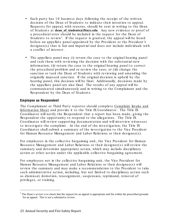- Each party has 10 business days following the receipt of the written decision of the Dean of Students to indicate their intention to appeal. Requests for appeal, with reasons, should be sent in writing to the Dean of Students at **dean\_of\_students@fitnyc.edu**. Any new evidence or proof of a procedural error should be included in the request for the Dean of Students to review<sup>3</sup>. If the request is granted, the appeal will be heard before an appellate panel appointed by the President or the President's designee(s) that is fair and impartial and does not include individuals with a conflict of int erest .
- The appellate panel may (i) return the case to the original hearing panel and task them with reviewing the decision with the substantial new information; (ii) return the case to the original hearing panel to correct the procedural problem and re-review the case; or (iii) change the sanction or task the Dean of Students with reviewing and amending the originally imposed sanction. If the original decision is upheld by the hearing panel, this decision will be final. Additionally, decisions made by the appellate panel are also final. The results of any appeal will be communicated simultaneously and in writing to the Complainant and the Respondent by the Dean of Students.

### Employee as Respondent

The Complainant or Third Party reporter should complete Complaint Intake and Information Sheet and provide it to the Title IX Coordinator. The Title IX Coordinator will notify the Respondent that a report has been made, giving the Respondent the opportunity to respond to the allegations. The Title IX Coordinator will review supporting documentation and will interview witnesses to investigate the complaint. At the end of the investigation, the Title IX Coordinator shall submit a summary of the investigation to the Vice President for Human Resource Management and Labor Relations or their designee(s).

For employees in the collective bargaining unit, the Vice President for Human Resource Management and Labor Relat ions or t heir designee(s) will review t he summary and determine appropriate action, which may include disciplinary action or other action under the applicable collective bargaining agreement.

For employees not in the collect ive bargaining unit , the Vice President for Human Resource Management and Labor Relations or their designee(s) will review the summary and may make a recommendation to the President to take such administrative action, including, but not limited to disciplinary action such as dismissal, demotion, reassignment, suspension, reprimand, removal of privileges, or t raining.

<sup>&</sup>lt;sup>3</sup> The Dean's review is to check that the request for an appeal is appropriate and fits within the prescribed grounds for an appeal. This is not a substantive review.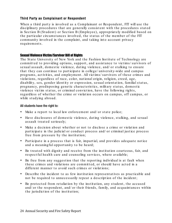### Third Party as Complainant or Respondent

When a third party is involved as a Complainant or Respondent, FIT will use the disciplinary procedures that are generally consistent with the procedures stated in Section B (Student) or Section B (Employee), appropriately modified based on the particular circumstances involved, the status of the member of the FIT community involved in the complaint, and taking into account privacy requirements.

### Sexual Violence Victim/Survivor Bill of Rights

The State University of New York and the Fashion Institute of Technology are committed to providing options, support, and assistance to victims/survivors of sexual assault, domestic violence, dating violence, and/ or stalking to ensure that they can continue to participate in college/university-wide and campus programs, activities, and employment. All victims/ survivors of these crimes and violat ions, regardless of race, color, nat ional origin, religion, creed, age, disability, sex, gender identity or expression, sexual orientation, familial status, pregnancy, predisposing genet ic charact erist ics, milit ary st at us, domest ic violence victim status, or criminal conviction, have the following rights, regardless of whether the crime or violation occurs on campus, off campus, or while studying abroad.

### All students have the right to:

- Make a report to local law enforcement and/ or state police;
- Have disclosures of domestic violence, dating violence, stalking, and sexual assault treated seriously;
- Make a decision about whether or not to disclose a crime or violation and participate in the judicial or conduct process and/ or criminal justice process free from pressure by the institution;
- Participate in a process that is fair, impartial, and provides adequate notice and a meaningful opportunity to be heard;
- Be treated with dignity and receive from the institution courteous, fair, and respect ful health care and counseling services, where available;
- Be free from any suggestion that the reporting individual is at fault when these crimes and violations are committed, or should have acted in a different manner to avoid such crimes or violations;
- Describe the incident to as few institution representatives as practicable and not be required to unnecessarily repeat a description of the incident;
- Be protected from retaliation by the institution, any student, the accused and/ or the respondent, and/ or their friends, family, and acquaint ances within the jurisdiction of the institution;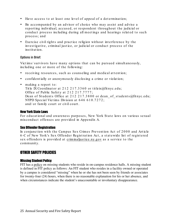- Have access to at least one level of appeal of a determination;
- Be accompanied by an advisor of choice who may assist and advise a reporting individual, accused, or respondent throughout the judicial or conduct process including during all meetings and hearings related to such process; and
- Exercise civil rights and practice religion without interference by the investigative, criminal justice, or judicial or conduct process of the inst it ut ion.

### Options in Brief:

Victims/ survivors have many options that can be pursued simultaneously, including one or more of the following:

- receiving resources, such as counseling and medical attention;
- confidentially or anonymously disclosing a crime or violation;
- making a report to: Title IX Coordinator at 212 217.3360 or title ix @fit nyc.edu; Office of Public Safety at 212 217.7777; Dean of Students Office at 212 217.3800 or dean of students@fitnyc.edu; NYPD Special Victims Division at 646 610.7272; and/ or family court or civil court .

### New York State Laws

For educational and awareness purposes, New York State laws on various sexual misconduct offenses are provided in Appendix A.

### Sex Offender Registration

In conjunction with the Campus Sex Crimes Prevention Act of 2000 and Article 6 -C of New York's Sex Offender Registration Act, a statewide list of registered sex offenders is provided at criminaljustice.ny.gov as a service to the communit y.

### OTHER SAFETY POLICIES

### Missing Student Policy

FIT has a policy on missing students who reside in on-campus residence halls. A missing student is defined in FIT policy as follows: An FIT student who resides in a facility owned or operated by a campus is considered "missing" when he or she has not been seen by friends or associates for twenty-four (24) hours, when there is no reasonable explanation for his or her absence, and when circumstances indicate the student's unaccountable or involuntary disappearance.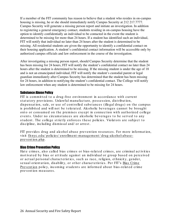If a member of the FIT community has reason to believe that a student who resides in on-campus housing is missing, he or she should immediately notify Campus Security at 212 217.7777. Campus Security will generate a missing person report and initiate an investigation. In addition to registering a general emergency contact, students residing in on-campus housing have the option to identify confidentially an individual to be contacted in the event the student is determined to be missing for more than 24 hours. If a student has identified such an individual, FIT will notify that individual no later than 24 hours after the student is determined to be missing. All residential students are given the opportunity to identify a confidential contact on their housing application. A student's confidential contact information will be accessible only by authorized campus officials and law enforcement in the course of the investigation.

After investigating a missing person report, should Campus Security determine that the student has been missing for 24 hours, FIT will notify the student's confidential contact no later than 24 hours after the student is determined to be missing. If the missing student is under the age of 18 and is not an emancipated individual, FIT will notify the student's custodial parent or legal guardian immediately after Campus Security has determined that the student has been missing for 24 hours, in addition to notifying the student's confidential contact. The College will notify law enforcement when any student is determined to be missing for 24 hours.

### Substance Abuse Policy

FIT is committed to a drug-free environment in accordance with current statut ory provisions. Unlawful manufact ure, possession, dist ribut ion, dispensation, sale, or use of controlled substances (illegal drugs) on the campus is prohibited and will not be tolerated. Alcoholic beverages cannot be brought onto or consumed on the premises except in connection with authorized college events. Under no circumstances are alcoholic beverages to be served to any student. The college strictly enforces these policies. Violators are subject to discipline, including dismissal and/ or arrest .

FIT provides drug and alcohol abuse prevent ion resources. For more informat ion, visit fit nyc.edu/ policies/ enrollment-management/ drug-alcohol-abuse prevent ion.php.

### Bias Crime Prevention Policy

Hate crimes, also called bias crimes or bias-related crimes, are criminal activities motivated by bias or attitude against an individual or group based on perceived or actual personal characteristics, such as race, religion, ethnicity, gender, sexual orientation, disability, or other characteristics. Per FIT's Bias Crime Prevention policy, incoming students are informed about bias-related crime prevent ion measures.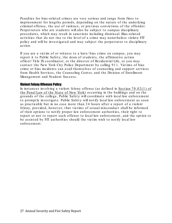Penalties for bias-related crimes are very serious and range from fines to imprisonment for lengthy periods, depending on the nature of the underlying criminal offense, t he use of violence, or previous convict ions of the offender. Perpetrators who are students will also be subject to campus disciplinary procedures, which may result in sanct ions including dismissal. Bias-relat ed activities that do not rise to the level of a crime may nonetheless violate FIT policy and will be investigated and may subject the perpetrator to disciplinary act ion.

If you are a victim of or witness to a hate/bias crime on campus, you may report it to Public Safety, the dean of students, the affirmative action officer/ Title IX coordinator, or the director of Residential Life, or you may contact the New York City Police Department by calling 911. Victims of bias crime or bias incident s can avail t hemselves of counseling and support services from Health Services, the Counseling Center, and the Division of Enrollment Management and Student Success.

### Violent Felony Offenses Policy

In instances involving a violent felony offense (as defined in Section  $70.02(1)$  of the Penal Law of the State of New York) occurring in the buildings and on the grounds of the college, Public Safety will coordinate with local law enforcement to promptly investigate. Public Safety will notify local law enforcement as soon as practicable but in no case more than 24 hours after a report of a violent felony, provided, however, that victims of sexual misconduct shall be informed of their options to notify proper law enforcement authorities, their right to report or not to report such offense to local law enforcement, and the option to be assisted by FIT authorities should the victim wish to notify local law enforcement.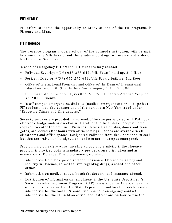# FIT IN ITALY

FIT offers students the opportunity to study at one of the FIT programs in Florence and Milan.

### FIT in Florence

The Florence program is operated out of the Polimoda institution, with its main location of the Villa Favard and the Scuderie buildings in Florence and a design lab locat ed in Scandicci.

In case of emergency in Florence, FIT students may contact:

- Polimoda Security:  $+(39)$  055-275 647, Villa Favard building, 2nd floor
- Resident Director:  $+(39)$  055-275-633, Villa Favard building, 2nd floor
- Office of International Programs and Office of the Dean of International Education: Room B119 in the New York campus, 212 217.5380
- U.S. Consulate in Florence:  $+(39)$  055 266951, Lungarno Amerigo Vespucci, 3 8 , 5 0 1 2 3 Firenze

• In off-campus emergencies, dial 118 (medical emergencies) or 113 (police) FIT students may also contact any of the persons in New York listed under "Report ing Crimes and Emergencies."

Security services are provided by Polimoda. The campus is gated with Polimoda electronic badge and/ or check-in with staff at the front desk/ reception area required to enter the premises. Premises, including all building doors and main gates, are locked after hours with alarm settings. Phones are available in all classrooms and office spaces. Designated Polimoda front desk personnel in each location are trained and assigned to handle minor on campus emergencies.

Programming on safety while traveling abroad and studying in the Florence program is provided both in mandatory pre-departure orientation and in orient at ion in Florence. This programming includes:

- Information from local police sergeant session in Florence on safety and security in Florence, as well as laws regarding drugs, alcohol, and other crimes.
- Information on medical issues, hospitals, doctors, and insurance abroad.
- Distribution of information on: enrollment in the U.S. State Department's Smart Traveler Enrollment Program (STEP); assist ance for American vict ims of crime overseas via the U.S. State Department and local consulate; contact information for the local U.S. consulate; 24-hour emergency contact information for the FIT in Milan office; and instructions on how to use the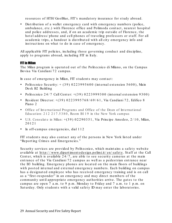resources of HTH/GeoBlue, FIT's mandatory insurance for study abroad.

• Distribution of a wallet emergency card with emergency numbers (police, ambulance, etc.) with Florence office and Polimoda contact, nearest hospital and police addresses, and, if on an academic trip outside of Florence, the hotel address/ phone and cell phones of traveling professors or staff. For all academic trips, a handout is distributed with all city emergency info and instructions on what to do in case of emergency.

All applicable FIT policies, including those governing conduct and discipline, apply to programs abroad, including FIT in Italy.

### FIT in Milan

The Milan program is operated out of the Politecnico di Milano, on the Campus Bovisa Via Candiani 72 campus.

In case of emergency in Milan, FIT students may contact:

- Politecnico Security:  $+(39)$  0223995600 (internal extension 5600), Main Desk B2 Building
- Politecnico 24/7 Call Center:  $+(39)$  0223999300 (internal extension 9300)
- Resident Director:  $+(39)$  0223995768/69/61, Via Candiani 72, Edifico 8 Piano 2
- Office of International Programs and Office of the Dean of International Education:  $212217.5380$ , Room B119 in the New York campus
- U.S. Consulate in Milan:  $+(39)$  02290351, Via Principe Amedeo, 2/10, Milan, 20121
- In off-campus emergencies, dial 112

FIT students may also contact any of the persons in New York listed under "Report ing Crimes and Emergencies."

Security services are provided by Politecnico, which maintains a safety website available at http://www.dipartimentodesign.polimi.it/en/safety. Staff at the Call Center, which is available  $24/7$ , are able to see security cameras at the main entrance of the Via Candiani 72 campus as well as a pedestrian entrance near the B3 building. Emergency phones are located on the main floors of buildings with posted internal and external emergency numbers. Each building on campus has a designated employee who has received emergency training and is on call as a "first-responder" in an emergency and may direct members of the community until appropriate emergency authorities arrive. The gates to the campus are open 7 a.m. to 9 p.m. Monday to Friday and 7 a.m. to 1 p.m. on Saturday. Only students with a valid safety ID may enter the laboratories.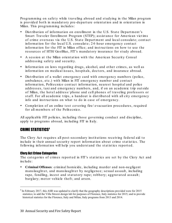Programming on safety while traveling abroad and studying in the Milan program is provided both in mandatory pre-departure orientation and in orientation in Milan. This programming includes:

- Distribution of information on enrollment in the U.S. State Department's Smart Traveler Enrollment Program (STEP); assistance for American victims of crime overseas via the U.S. State Department and local consulate; contact information for the local U.S. consulate; 24-hour emergency contact information for the FIT in Milan office; and instructions on how to use the resources of HTH/GeoBlue, FIT's mandatory insurance for study abroad.
- A session at the Milan orient at ion with the American Security Consul addressing safety and security.
- Informat ion on laws regarding drugs, alcohol, and ot her crimes, as well as informat ion on medical issues, hospit als, doct ors, and insurance abroad.
- Distribution of a wallet emergency card with emergency numbers (police, ambulance, etc.) with Milan in FIT emergency number and contact informat ion, Polit ecnico cont act informat ion, nearest hospit al and police addresses, taxi and emergency numbers, and, if on an academic trip outside of Milan, the hotel address/ phone and cell phones of traveling professors or staff. For all academic trips, a handout is distributed with all city emergency info and instructions on what to do in case of emergency.
- Completion of an online test covering fire/ evacuation procedures, required for all members of the Politecnico.

All applicable FIT policies, including those governing conduct and discipline, apply to programs abroad, including FIT in Italy.

# CRIME STATISTICS4

The Clery Act requires all post-secondary institutions receiving federal aid to include in their annual security report information about crime statistics. The following information will help you understand the statistics reported.

### Clery Act Crime Categories

The categories of crimes reported in FIT's statistics are set by the Clery Act and include:

• **Criminal Offenses**: criminal homicide, including murder and non-negligent manslaught er, and manslaught er by negligence; sexual assault , including rape, fondling, incest and statutory rape; robbery; aggravated assault; burglary; motor vehicle theft; and arson.

 <sup>4</sup> In February 2017, this ASR was updated to clarify that the geography descriptions provided were for 2015 statistics; to add the Villa Strozzi design lab for purposes of Florence, Italy statistics for 2015; and to provide historical statistics for the Florence, Italy and Milan, Italy programs from 2013 and 2014.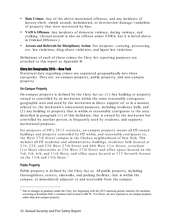- **Hate Crimes**: Any of the above-mentioned offenses, and any incidents of larceny-t heft , simple assault , int imidat ion, or dest ruct ion/ damage/ vandalism of property that were motivated by bias;
- **VAWA Offenses:** Any incidents of domestic violence, dating violence, and stalking. (Sexual assault is also an offense under VAWA, but it is listed above in Criminal Offenses.)
- **Arrests and Referrals for Disciplinary Action**: For weapons—carrying, possessing, et c. law violat ions; drug abuse violat ions; and liquor law violat ions.

Definitions of each of these crimes for Clery Act reporting purposes are attached to this report as Appendix B.

### Clery Act Geography 2015—New York

Statistical data regarding crimes are separated geographically into three categories. They are: on-campus property, public property, and non-campus property.

### On-Campus Property

On-campus property is defined by the Clery Act as:  $(1)$  Any building or property owned or controlled by an institution within the same reasonably contiguous geographic area and used by the institution in direct support of, or in a manner related to, the institution's educational purposes, including residence halls; and  $(2)$  any building or property that is within or reasonably contiguous to the area ident ified in paragraph (1) of this definition, that is owned by the institution but controlled by another person, is frequently used by students, and supports inst it ut ional purposes.

For purposes of FIT's 2015 statistics, on-campus property means all FIT-owned buildings and property controlled by FIT within, and reasonably contiguous to, the West 27th Street campus in the Chelsea neighborhood of New York. This includes all FIT academic and administrative buildings, residence halls located at 210, 220, and 230 West 27th Street and 406 West 31st Street, storefront (1 st floor) classrooms at  $236$  West  $27th$  Street and office space located on the 3rd, 5th, 6th, and 11th floors, and office space located at 333 Seventh Avenue on the  $13$ th and  $15$ th floors.<sup>5</sup>

### Public Property

Public property is defined by the Clery Act as: All public property, including thoroughfares, streets, sidewalks, and parking facilities, that is within the campus, or immediately adjacent to and accessible from the campus.

 $5$  Due to changes in guidance under the Clery Act, beginning with the 2015 reporting period, statistics for incidents occurring at Kaufman Hall, a residence hall located at 406 W. 31st Street, are now reported as on-campus property rather than non-campus property.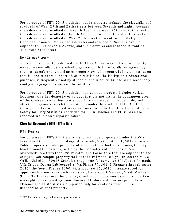For purposes of FIT's 2015 statistics, public property includes the sidewalks and roadbeds of West 27th and 28th streets between Seventh and Eighth Avenues, the sidewalks and roadbed of Seventh Avenue between 26th and 28th streets, the sidewalks and roadbed of Eighth Avenue between 27th and 28th streets, the sidewalks and roadbed of West 26th Street adjacent to the Shirley Goodman Resource Center, the sidewalks and roadbed of Seventh Avenue adjacent to 333 Seventh Avenue, and the sidewalks and roadbed in front of 406 West 31st Street.

### Non-Campus Property

Non-campus property is defined by the Clery Act as: Any building or property owned or controlled by a student organization that is officially recognized by the institution<sup>6</sup>; or any building or property owned or controlled by an institution that is used in direct support of, or in relation to, the institution's educational purposes, is frequently used by students, and is not within the same reasonably contiguous geographic area of the institution.

For purposes of FIT's 2015 statistics, non-campus property includes various locations, whether domestic or abroad, that are not within the contiguous area of the Chelsea campus but that support various academic, student life, and athletic programs in which the location is under the control of FIT. A list of these properties is compiled yearly and maintained by the Department of Public Safety for Clery Statistics. Statistics for FIT in Florence and FIT in Milan are reported in their own separate tables.

### Clery Act Geography 2015 – FIT in Italy

### FIT in Florence

For purposes of FIT's 2015 statistics, on-campus property includes the Villa Favard and the Scuderie buildings of Polimoda, Via Curtatone 1, 50123 Firenze. Public property includes property adjacent to these buildings forming the city block around the campus, including the sidewalks and roadbeds of Via Montebello, Via Curtatone, Via Palestro, and Corso Italia that are adjacent to the campus. Non-campus property includes the Polimoda Design Lab located at Via Galileo Galilei 31, 50018 Scandicci (beginning fall semester 2015); the Polimoda Villa Strozzi Design Lab located at Via Pisana 77, 50143 Firenze (through spring  $2015$ );the Youth Firenze  $2000$ , Viale R Sanzio 16, 50124 Firenze (used for approximately one week each semester); the Stibbert Museum, Via di Montughi 9, 50139 Firenze (used for one day); and accommodations used during certain overnight trips originating from Florence. FIT does not own any property in Florence and all statistics are reported only for locations while FIT is in use/control of such property.

 <sup>6</sup> FIT does not have any such non-campus properties.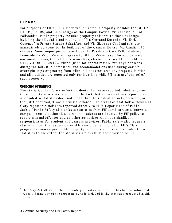### FIT in Milan

For purposes of FIT's  $2015$  statistics, on-campus property includes the B1, B2, B3, B4, B5, B6, and B7 buildings of the Campus Bovisa, Via Candiani 72, of Politecnico. Public property includes property adjacent to these buildings, including t he sidewalks and roadbeds of Via Giovanni Durando, Via Enrico Cosenz, Via Privata Simone Schiaffino, and Via Giuseppe Candiani that are immediately adjacent to the buildings of the Campus Bovisa, Via Candiani 72 campus. Non-campus property includes the Residenza Casa Dello Studente Leonardo da Vinci, Viale Romagna 62, 20133 Milano (used for approximately one month during the fall 2015 semester); classroom space Elementi Moda s.r.l., Via Orti, 2, 20122 Milano (used for approximately two days per week during the fall 2015 semester); and accommodations used during certain overnight trips originating from Milan. FIT does not own any property in Milan and all statistics are reported only for locations while FIT is in use/ control of such property.

### Collection of Statistics

The statistics that follow reflect incidents that were reported, whether or not those reports were ever confirmed. The fact that an incident was reported and is included in statistics does not mean that the incident actually occurred, or that, if it occurred, it was a criminal offense. The statistics that follow include all Clery-reportable incidents reported directly to FIT's Department of Public Safety.<sup>7</sup> Public Safety also collects statistics from FIT administrators, known as campus security authorities, to whom students are directed by FIT policy to report criminal offenses and to other authorities who have significant responsibilities for student and campus activities. Public Safety also requests statistics from the respective local law enforcement for all of FIT's Clery geography (on-campus, public property, and non-campus) and includes these statistics to the extent the statistics are available and provided to FIT.

<sup>&</sup>lt;sup>7</sup> The Clery Act allows for the unfounding of certain reports. FIT has had no unfounded reports during any of the reporting periods included in the statistics presented in this report.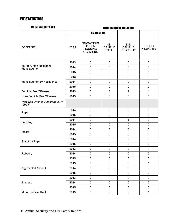# FIT STATISTICS

| <b>CRIMINAL OFFENSES</b>                   |             | <b>GEOGRAPHICAL LOCATION</b>                                              |                                      |                                          |                                  |
|--------------------------------------------|-------------|---------------------------------------------------------------------------|--------------------------------------|------------------------------------------|----------------------------------|
|                                            |             | <b>ON-CAMPUS</b>                                                          |                                      |                                          |                                  |
| <b>OFFENSE</b>                             | <b>YEAR</b> | <b>ON-CAMPUS</b><br><b>STUDENT</b><br><b>HOUSING</b><br><b>FACILITIES</b> | ON-<br><b>CAMPUS</b><br><b>TOTAL</b> | NON-<br><b>CAMPUS</b><br><b>PROPERTY</b> | <b>PUBLIC</b><br><b>PROPERTY</b> |
|                                            | 2013        | $\pmb{0}$                                                                 | $\pmb{0}$                            | $\mathbf 0$                              | $\pmb{0}$                        |
| Murder / Non-Negligent<br>Manslaughter     | 2014        | $\pmb{0}$                                                                 | $\pmb{0}$                            | $\pmb{0}$                                | 0                                |
|                                            | 2015        | $\pmb{0}$                                                                 | $\pmb{0}$                            | $\mathbf 0$                              | $\mathbf 0$                      |
|                                            | 2013        | 0                                                                         | $\pmb{0}$                            | $\mathbf 0$                              | 0                                |
| Manslaughter By Negligence                 | 2014        | $\mathbf 0$                                                               | $\pmb{0}$                            | $\pmb{0}$                                | $\overline{0}$                   |
|                                            | 2015        | 0                                                                         | $\mathbf 0$                          | $\mathbf 0$                              | 0                                |
| Forcible Sex Offenses                      | 2013        | $\pmb{0}$                                                                 | $\pmb{0}$                            | 1                                        | $\mathbf{1}$                     |
| Non-Forcible Sex Offenses                  | 2013        | 0                                                                         | $\pmb{0}$                            | 0                                        | 0                                |
| New Sex Offense Reporting 2014<br>$-2015*$ |             |                                                                           |                                      |                                          |                                  |
| Rape                                       | 2014        | $\mathbf 0$                                                               | $\mathbf 0$                          | $\pmb{0}$                                | $\pmb{0}$                        |
|                                            | 2015        | $\pmb{0}$                                                                 | $\pmb{0}$                            | $\pmb{0}$                                | $\pmb{0}$                        |
| Fondling                                   | 2014        | $\pmb{0}$                                                                 | 1                                    | $\mathbf{1}$                             | $\pmb{0}$                        |
|                                            | 2015        | $\pmb{0}$                                                                 | $\pmb{0}$                            | $\pmb{0}$                                | $\overline{2}$                   |
| Incest                                     | 2014        | $\pmb{0}$                                                                 | $\pmb{0}$                            | $\mathbf 0$                              | $\mathbf 0$                      |
|                                            | 2015        | $\mathbf 0$                                                               | $\mathbf 0$                          | $\mathbf 0$                              | 0                                |
| <b>Statutory Rape</b>                      | 2014        | $\pmb{0}$                                                                 | $\pmb{0}$                            | $\pmb{0}$                                | $\mathbf 0$                      |
|                                            | 2015        | $\pmb{0}$                                                                 | 0                                    | $\pmb{0}$                                | 0                                |
|                                            | 2013        | 0                                                                         | $\pmb{0}$                            | 0                                        | 1                                |
| Robbery                                    | 2014        | $\pmb{0}$                                                                 | $\pmb{0}$                            | $\pmb{0}$                                | $\pmb{0}$                        |
|                                            | 2015        | $\mathsf 0$                                                               | $\pmb{0}$                            | $\pmb{0}$                                | $\pmb{0}$                        |
|                                            | 2013        | $\pmb{0}$                                                                 | $\pmb{0}$                            | $\pmb{0}$                                | $\mathbf{1}$                     |
| <b>Aggravated Assault</b>                  | 2014        | $\pmb{0}$                                                                 | $\pmb{0}$                            | $\pmb{0}$                                | $\pmb{0}$                        |
|                                            | 2015        | $\pmb{0}$                                                                 | $\pmb{0}$                            | $\pmb{0}$                                | $\overline{2}$                   |
|                                            | 2013        | $\pmb{0}$                                                                 | $\mathbf 1$                          | $\pmb{0}$                                | $\pmb{0}$                        |
| <b>Burglary</b>                            | 2014        | $\pmb{0}$                                                                 | $\pmb{0}$                            | $\pmb{0}$                                | $\pmb{0}$                        |
|                                            | 2015        | $\pmb{0}$                                                                 | $\pmb{0}$                            | $\pmb{0}$                                | $\pmb{0}$                        |
| Motor Vehicle Theft                        | 2013        | $\mathsf 0$                                                               | $\mathsf 0$                          | $\pmb{0}$                                | $\mathbf{1}$                     |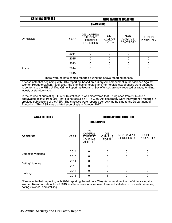| <b>CRIMINAL OFFENSES</b> |             | <b>GEOGRAPHICAL LOCATION</b>                                              |                                      |                                          |                                  |  |
|--------------------------|-------------|---------------------------------------------------------------------------|--------------------------------------|------------------------------------------|----------------------------------|--|
|                          |             | <b>ON-CAMPUS</b>                                                          |                                      |                                          |                                  |  |
| <b>OFFENSE</b>           | <b>YEAR</b> | <b>ON-CAMPUS</b><br><b>STUDENT</b><br><b>HOUSING</b><br><b>FACILITIES</b> | ON-<br><b>CAMPUS</b><br><b>TOTAL</b> | NON-<br><b>CAMPUS</b><br><b>PROPERTY</b> | <b>PUBLIC</b><br><b>PROPERTY</b> |  |
|                          | 2014        | $\mathbf 0$                                                               | $\mathbf 0$                          | $\Omega$                                 | 1                                |  |
|                          | 2015        | 0                                                                         | 0                                    | $\mathbf{0}$                             | 0                                |  |
|                          | 2013        | 0                                                                         | 0                                    | $\mathbf{0}$                             | 0                                |  |
| Arson                    | 2014        | 0                                                                         | 0                                    | $\mathbf{0}$                             | 0                                |  |
|                          | 2015        | 0                                                                         | 0                                    | $\mathbf{0}$                             | 0                                |  |

There were no hate crimes reported during the above reporting periods.

\*Please note that beginning with 2014 reporting, based on a Clery Act amendment in the Violence Against Women Reauthorization Act of 2013, the offenses of forcible and non-forcible sex offenses were amended to conform to the FBI's Unified Crime Reporting Program. Sex offenses are now reported as rape, fondling, incest, or statutory rape.

In the course of submitting FIT's 2016 statistics, it was discovered that 2 burglaries from 2014 and 1 aggravated assault from 2014 that did not occur on FIT's Clery Act geography were inadvertently reported in previous publications of the ASR. The statistics were reported correctly at the time to the Department of Education. This ASR was updated accordingly in October 2017."

| <b>VAWA OFFENSES</b>                                                                                                     |       | <b>GEOGRAPHICAL LOCATION</b>                                                  |                                      |                                      |                                  |
|--------------------------------------------------------------------------------------------------------------------------|-------|-------------------------------------------------------------------------------|--------------------------------------|--------------------------------------|----------------------------------|
|                                                                                                                          |       | <b>ON-CAMPUS</b>                                                              |                                      |                                      |                                  |
| <b>OFFENSE</b>                                                                                                           | YEAR* | ON-<br><b>CAMPUS</b><br><b>STUDENT</b><br><b>HOUSING</b><br><b>FACILITIES</b> | ON-<br><b>CAMPUS</b><br><b>TOTAL</b> | <b>NONCAMPU</b><br><b>S PROPERTY</b> | <b>PUBLIC</b><br><b>PROPERTY</b> |
| Domestic Violence                                                                                                        | 2014  | $\mathbf{0}$                                                                  | $\mathbf 0$                          | $\mathbf 0$                          | $\mathbf 0$                      |
|                                                                                                                          | 2015  | $\mathbf{0}$                                                                  | $\Omega$                             | $\mathbf 0$                          | $\mathbf 0$                      |
| Dating Violence                                                                                                          | 2014  | $\Omega$                                                                      | $\Omega$                             | $\mathbf 0$                          | $\Omega$                         |
|                                                                                                                          | 2015  | $\mathbf{0}$                                                                  | $\mathbf 0$                          | $\mathbf 0$                          | $\mathbf{0}$                     |
| Stalking                                                                                                                 | 2014  | $\mathbf{0}$                                                                  | $\Omega$                             | $\mathbf 0$                          | $\mathbf{0}$                     |
|                                                                                                                          | 2015  | 0                                                                             |                                      | 0                                    | 0                                |
| $\star$ Discovered the distribution of the OA 4 percent conducted and Chern Andreast and the distribution of Application |       |                                                                               |                                      |                                      |                                  |

\*Please note that beginning with 2014 reporting, based on a Clery Act amendment in the Violence Against Women Reauthorization Act of 2013, institutions are now required to report statistics on domestic violence, dating violence, and stalking.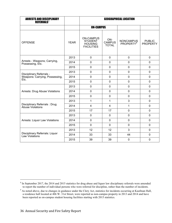| <b>ARRESTS AND DISCIPLINARY</b><br><b>REFERRALS<sup>8</sup></b>    |             | <b>GEOGRAPHICAL LOCATION</b>                                              |                                      |                                           |                                  |
|--------------------------------------------------------------------|-------------|---------------------------------------------------------------------------|--------------------------------------|-------------------------------------------|----------------------------------|
|                                                                    |             | <b>ON-CAMPUS</b>                                                          |                                      |                                           |                                  |
| <b>OFFENSE</b>                                                     | <b>YEAR</b> | <b>ON-CAMPUS</b><br><b>STUDENT</b><br><b>HOUSING</b><br><b>FACILITIES</b> | ON-<br><b>CAMPUS</b><br><b>TOTAL</b> | <b>NONCAMPUS</b><br>PROPERTY <sup>9</sup> | <b>PUBLIC</b><br><b>PROPERTY</b> |
|                                                                    | 2013        | $\mathbf 0$                                                               | $\mathbf 0$                          | $\mathbf 0$                               | 0                                |
| Arrests - Weapons; Carrying,<br>Possessing, Etc.                   | 2014        | 0                                                                         | $\mathbf 0$                          | $\overline{0}$                            | $\Omega$                         |
|                                                                    | 2015        | 0                                                                         | $\mathbf 0$                          | $\mathbf 0$                               | $\mathbf 0$                      |
| Disciplinary Referrals -<br>Weapons: Carrying, Possessing,<br>Etc. | 2013        | 0                                                                         | $\mathbf 0$                          | $\mathbf 0$                               | $\mathbf 0$                      |
|                                                                    | 2014        | 0                                                                         | $\mathbf 0$                          | $\mathbf 0$                               | $\mathbf 0$                      |
|                                                                    | 2015        | 0                                                                         | $\mathbf 0$                          | $\mathbf 0$                               | $\mathbf 0$                      |
|                                                                    | 2013        | $\mathbf 0$                                                               | $\mathbf 0$                          | $\mathbf 0$                               | $\mathbf 0$                      |
| Arrests: Drug Abuse Violations                                     | 2014        | 0                                                                         | $\mathbf 0$                          | $\mathbf 0$                               | 0                                |
|                                                                    | 2015        | $\mathbf 0$                                                               | $\mathbf 0$                          | $\mathbf 0$                               | $\mathbf 0$                      |
|                                                                    | 2013        | 1                                                                         | 1                                    | 3                                         | $\Omega$                         |
| Disciplinary Referrals: Drug<br>Abuse Violations                   | 2014        | $\overline{\mathbf{4}}$                                                   | $\overline{4}$                       | 1                                         | $\mathbf 0$                      |
|                                                                    | 2015        | 17                                                                        | 17                                   | $\mathbf 0$                               | $\mathbf 0$                      |
|                                                                    | 2013        | $\mathbf 0$                                                               | $\mathsf 0$                          | $\mathbf 0$                               | $\mathbf 0$                      |
| Arrests: Liquor Law Violations                                     | 2014        | $\mathbf 0$                                                               | $\mathbf 0$                          | $\mathbf 0$                               | $\mathbf 0$                      |
|                                                                    | 2015        | $\mathbf 0$                                                               | $\mathbf 0$                          | $\overline{0}$                            | $\mathbf 0$                      |
|                                                                    | 2013        | 12                                                                        | 12                                   | 3                                         | $\mathbf 0$                      |
| Disciplinary Referrals: Liquor<br>Law Violations                   | 2014        | 33                                                                        | 33                                   | 44                                        | $\mathbf 0$                      |
|                                                                    | 2015        | 39                                                                        | 39                                   | $\pmb{0}$                                 | $\mathsf 0$                      |

 $\frac{8}{8}$  In September 2017, the 2014 and 2015 statistics for drug abuse and liquor law disciplinary referrals were amended to report the number of individual persons who were referred for discipline, rather than the number of incidents.

<sup>&</sup>lt;sup>9</sup> As noted above, due to changes in guidance under the Clery Act, statistics for incidents occurring at Kaufman Hall, a residence hall located at 406 W. 31st Street, were reported as non-campus property in 2013 and 2014 and have been reported as on-campus student housing facilities starting with 2015 statistics.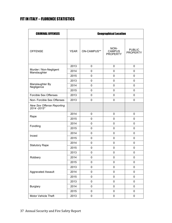# FIT IN ITALY – FLORENCE STATISTICS

| <b>CRIMINAL OFFENSES</b>                       |             |             | <b>Geographical Location</b>             |                                  |
|------------------------------------------------|-------------|-------------|------------------------------------------|----------------------------------|
| <b>OFFENSE</b>                                 | <b>YEAR</b> | ON-CAMPUS** | NON-<br><b>CAMPUS</b><br><b>PROPERTY</b> | <b>PUBLIC</b><br><b>PROPERTY</b> |
|                                                | 2013        | $\mathbf 0$ | 0                                        | 0                                |
| Murder / Non-Negligent                         | 2014        | 0           | 0                                        | 0                                |
| Manslaughter                                   | 2015        | 0           | 0                                        | 0                                |
|                                                | 2013        | $\mathbf 0$ | 0                                        | 0                                |
| Manslaughter By                                | 2014        | 0           | 0                                        | 0                                |
| Negligence                                     | 2015        | $\mathbf 0$ | 0                                        | 0                                |
| Forcible Sex Offenses                          | 2013        | $\mathbf 0$ | 0                                        | 0                                |
| Non- Forcible Sex Offenses                     | 2013        | 0           | 0                                        | 0                                |
| <b>New Sex Offense Reporting</b><br>2014-2015* |             |             |                                          |                                  |
|                                                | 2014        | $\mathbf 0$ | 0                                        | 0                                |
| Rape                                           | 2015        | $\mathbf 0$ | 0                                        | 0                                |
|                                                | 2014        | 0           | 0                                        | 0                                |
| Fondling                                       | 2015        | $\mathbf 0$ | 0                                        | 0                                |
| Incest                                         | 2014        | $\mathbf 0$ | 0                                        | 0                                |
|                                                | 2015        | 0           | 0                                        | 0                                |
| <b>Statutory Rape</b>                          | 2014        | 0           | 0                                        | 0                                |
|                                                | 2015        | 0           | 0                                        | 0                                |
|                                                | 2013        | 0           | 0                                        | 0                                |
| Robbery                                        | 2014        | 0           | 0                                        | $\pmb{0}$                        |
|                                                | 2015        | 0           | 0                                        | 0                                |
|                                                | 2013        | $\mathsf 0$ | 0                                        | $\pmb{0}$                        |
| <b>Aggravated Assault</b>                      | 2014        | 0           | 0                                        | 0                                |
|                                                | 2015        | $\mathsf 0$ | 0                                        | 0                                |
|                                                | 2013        | $\pmb{0}$   | 0                                        | 0                                |
| <b>Burglary</b>                                | 2014        | $\pmb{0}$   | 0                                        | 0                                |
|                                                | 2015        | $\pmb{0}$   | 0                                        | 0                                |
| Motor Vehicle Theft                            | 2013        | 0           | 0                                        | 0                                |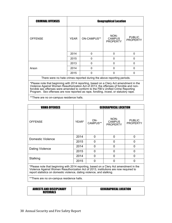| <b>CRIMINAL OFFENSES</b>                                                              |             | <b>Geographical Location</b> |                                          |                                  |  |  |
|---------------------------------------------------------------------------------------|-------------|------------------------------|------------------------------------------|----------------------------------|--|--|
| <b>OFFENSE</b>                                                                        | <b>YEAR</b> | ON-CAMPUS**                  | NON-<br><b>CAMPUS</b><br><b>PROPERTY</b> | <b>PUBLIC</b><br><b>PROPERTY</b> |  |  |
|                                                                                       | 2014        | 0                            | $\Omega$                                 | 0                                |  |  |
|                                                                                       | 2015        | O                            | 0                                        | $\Omega$                         |  |  |
|                                                                                       | 2013        | 0                            | 0                                        | $\Omega$                         |  |  |
| Arson                                                                                 | 2014        | 0                            | 0                                        | 0                                |  |  |
|                                                                                       | 2015        | 0                            | N                                        | 0                                |  |  |
| There were no hate crimes reported during the above reporting periods.                |             |                              |                                          |                                  |  |  |
| *Please note that beginning with 2014 reporting based on a Clery Act amendment in the |             |                              |                                          |                                  |  |  |

\*Please note that beginning with 2014 reporting, based on a Clery Act amendment in the Violence Against Women Reauthorization Act of 2013, the offenses of forcible and nonforcible sex offenses were amended to conform to the FBI's Unified Crime Reporting Program. Sex offenses are now reported as rape, fondling, incest, or statutory rape.

\*\*There are no on-campus residence halls.

| <b>VAWA OFFENSES</b>   |       | <b>GEOGRAPHICAL LOCATION</b> |                                          |                                  |  |  |
|------------------------|-------|------------------------------|------------------------------------------|----------------------------------|--|--|
| <b>OFFENSE</b>         | YEAR* | ON-<br>CAMPUS**              | NON-<br><b>CAMPUS</b><br><b>PROPERTY</b> | <b>PUBLIC</b><br><b>PROPERTY</b> |  |  |
| Domestic Violence      | 2014  | $\Omega$                     | O                                        | $\Omega$                         |  |  |
|                        | 2015  | $\Omega$                     | 0                                        | $\Omega$                         |  |  |
|                        | 2014  | 0                            | 0                                        | $\Omega$                         |  |  |
| <b>Dating Violence</b> | 2015  | $\Omega$                     | O                                        | $\Omega$                         |  |  |
|                        | 2014  | $\Omega$                     | 0                                        | $\Omega$                         |  |  |
| Stalking               | 2015  | ∩                            | n                                        | $\Omega$                         |  |  |

\*Please note that beginning with 2014 reporting, based on a Clery Act amendment in the Violence Against Women Reauthorization Act of 2013, institutions are now required to report statistics on domestic violence, dating violence, and stalking.

\*\*There are no on-campus residence halls.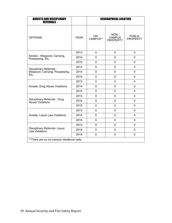| <b>ARRESTS AND DISCIPLINARY</b><br><b>REFERRALS</b>                |             | <b>GEOGRAPHICAL LOCATION</b> |                                          |                                  |  |
|--------------------------------------------------------------------|-------------|------------------------------|------------------------------------------|----------------------------------|--|
| <b>OFFENSE</b>                                                     | <b>YFAR</b> | ON-<br>CAMPUS**              | NON-<br><b>CAMPUS</b><br><b>PROPERTY</b> | <b>PUBLIC</b><br><b>PROPERTY</b> |  |
| Arrests - Weapons; Carrying,<br>Possessing, Etc.                   | 2013        | 0                            | $\mathbf 0$                              | $\mathbf{0}$                     |  |
|                                                                    | 2014        | $\Omega$                     | $\Omega$                                 | $\Omega$                         |  |
|                                                                    | 2015        | 0                            | $\overline{0}$                           | 0                                |  |
| Disciplinary Referrals -<br>Weapons: Carrying, Possessing,<br>Etc. | 2013        | 0                            | 0                                        | 0                                |  |
|                                                                    | 2014        | $\mathbf 0$                  | 0                                        | 0                                |  |
|                                                                    | 2015        | 0                            | 0                                        | 0                                |  |
|                                                                    | 2013        | $\Omega$                     | 0                                        | 0                                |  |
| <b>Arrests: Drug Abuse Violations</b>                              | 2014        | $\mathbf 0$                  | $\mathbf 0$                              | 0                                |  |
|                                                                    | 2015        | $\Omega$                     | 0                                        | $\Omega$                         |  |
|                                                                    | 2013        | 0                            | 0                                        | 0                                |  |
| Disciplinary Referrals: Drug<br>Abuse Violations                   | 2014        | 0                            | 0                                        | 0                                |  |
|                                                                    | 2015        | $\mathbf 0$                  | 0                                        | 0                                |  |
|                                                                    | 2013        | $\mathbf 0$                  | $\mathbf 0$                              | 0                                |  |
| Arrests: Liquor Law Violations                                     | 2014        | 0                            | 0                                        | 0                                |  |
|                                                                    | 2015        | 0                            | 0                                        | 0                                |  |
|                                                                    | 2013        | $\Omega$                     | 0                                        | 0                                |  |
| Disciplinary Referrals: Liquor<br>Law Violations                   | 2014        | $\mathbf 0$                  | $\overline{0}$                           | 0                                |  |
|                                                                    | 2015        | 0                            | 0                                        | 0                                |  |
| ** There are no on-campus residence halls.                         |             |                              |                                          |                                  |  |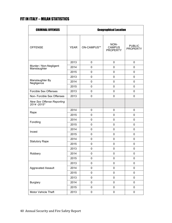# FIT IN ITALY – MILAN STATISTICS

| <b>CRIMINAL OFFENSES</b>                       |             |             | <b>Geographical Location</b>             |                                  |
|------------------------------------------------|-------------|-------------|------------------------------------------|----------------------------------|
| <b>OFFENSE</b>                                 | <b>YEAR</b> | ON-CAMPUS** | NON-<br><b>CAMPUS</b><br><b>PROPERTY</b> | <b>PUBLIC</b><br><b>PROPERTY</b> |
|                                                | 2013        | 0           | 0                                        | 0                                |
| Murder / Non-Negligent                         | 2014        | 0           | 0                                        | $\mathbf{0}$                     |
| Manslaughter                                   | 2015        | 0           | 0                                        | 0                                |
|                                                | 2013        | 0           | 0                                        | $\mathbf{0}$                     |
| Manslaughter By                                | 2014        | 0           | 0                                        | 0                                |
| Negligence                                     | 2015        | 0           | 0                                        | 0                                |
| <b>Forcible Sex Offenses</b>                   | 2013        | 0           | 0                                        | 0                                |
| Non- Forcible Sex Offenses                     | 2013        | 0           | 0                                        | 0                                |
| <b>New Sex Offense Reporting</b><br>2014-2015* |             |             |                                          |                                  |
| Rape                                           | 2014        | 0           | 0                                        | $\mathbf 0$                      |
|                                                | 2015        | 0           | 0                                        | $\mathbf 0$                      |
| Fondling                                       | 2014        | 0           | 0                                        | $\mathbf 0$                      |
|                                                | 2015        | 0           | 0                                        | 0                                |
| Incest                                         | 2014        | 0           | 0                                        | 0                                |
|                                                | 2015        | 0           | 0                                        | 0                                |
| <b>Statutory Rape</b>                          | 2014        | 0           | 0                                        | 0                                |
|                                                | 2015        | 0           | 0                                        | $\mathbf 0$                      |
|                                                | 2013        | 0           | 0                                        | $\mathbf 0$                      |
| Robbery                                        | 2014        | 0           | 0                                        | $\boldsymbol{0}$                 |
|                                                | 2015        | 0           | 0                                        | $\pmb{0}$                        |
|                                                | 2013        | 0           | 0                                        | $\pmb{0}$                        |
| Aggravated Assault                             | 2014        | 0           | 0                                        | $\pmb{0}$                        |
|                                                | 2015        | 0           | 0                                        | $\pmb{0}$                        |
|                                                | 2013        | 0           | 0                                        | $\pmb{0}$                        |
| <b>Burglary</b>                                | 2014        | 0           | 0                                        | $\pmb{0}$                        |
|                                                | 2015        | 0           | 0                                        | $\pmb{0}$                        |
| Motor Vehicle Theft                            | 2013        | 0           | 0                                        | $\pmb{0}$                        |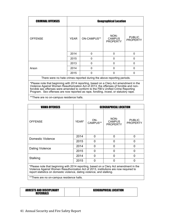| <b>CRIMINAL OFFENSES</b>                                                               |             | <b>Geographical Location</b> |                                          |                                  |  |  |
|----------------------------------------------------------------------------------------|-------------|------------------------------|------------------------------------------|----------------------------------|--|--|
| <b>OFFENSE</b>                                                                         | <b>YEAR</b> | ON-CAMPUS**                  | NON-<br><b>CAMPUS</b><br><b>PROPERTY</b> | <b>PUBLIC</b><br><b>PROPERTY</b> |  |  |
|                                                                                        | 2014        | $\Omega$                     | 0                                        | $\Omega$                         |  |  |
|                                                                                        | 2015        | 0                            | 0                                        | 0                                |  |  |
|                                                                                        | 2013        | 0                            | 0                                        | 0                                |  |  |
| Arson                                                                                  | 2014        | O                            | 0                                        | 0                                |  |  |
|                                                                                        | 2015        | ი                            | 0                                        | $\Omega$                         |  |  |
| There were no hate crimes reported during the above reporting periods.                 |             |                              |                                          |                                  |  |  |
| *Please note that beginning with 2014 reporting, based on a Clery Act amendment in the |             |                              |                                          |                                  |  |  |

Violence Against Women Reauthorization Act of 2013, the offenses of forcible and nonforcible sex offenses were amended to conform to the FBI's Unified Crime Reporting Program. Sex offenses are now reported as rape, fondling, incest, or statutory rape.

\*\*There are no on-campus residence halls.

| <b>VAWA OFFENSES</b>                                                                                                                                                           |       | <b>GEOGRAPHICAL LOCATION</b> |                                          |                                  |  |
|--------------------------------------------------------------------------------------------------------------------------------------------------------------------------------|-------|------------------------------|------------------------------------------|----------------------------------|--|
| <b>OFFENSE</b>                                                                                                                                                                 | YEAR* | ON-<br>CAMPUS**              | NON-<br><b>CAMPUS</b><br><b>PROPERTY</b> | <b>PUBLIC</b><br><b>PROPERTY</b> |  |
| <b>Domestic Violence</b>                                                                                                                                                       | 2014  | $\Omega$                     | 0                                        | $\Omega$                         |  |
|                                                                                                                                                                                | 2015  | 0                            | 0                                        | 0                                |  |
| Dating Violence                                                                                                                                                                | 2014  | 0                            | U                                        | 0                                |  |
|                                                                                                                                                                                | 2015  | $\Omega$                     | ∩                                        | 0                                |  |
|                                                                                                                                                                                | 2014  | 0                            | U                                        | 0                                |  |
| Stalking                                                                                                                                                                       | 2015  | 0                            | O                                        | 0                                |  |
| *Please note that beginning with 2014 reporting, based on a Clery Act amendment in the<br>Violence Against Women Reauthorization Act of 2013, institutions are now required to |       |                              |                                          |                                  |  |

report statistics on domestic violence, dating violence, and stalking.

\*\*There are no on-campus residence halls.

ARRESTS AND DISCIPLINARY REFERRALS

GEOGRAPHICAL LOCATION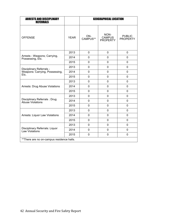| <b>ARRESTS AND DISCIPLINARY</b><br><b>REFERRALS</b>                |             | <b>GEOGRAPHICAL LOCATION</b> |                                          |                                  |  |  |  |
|--------------------------------------------------------------------|-------------|------------------------------|------------------------------------------|----------------------------------|--|--|--|
| <b>OFFENSE</b>                                                     | <b>YEAR</b> | ON-<br>CAMPUS**              | NON-<br><b>CAMPUS</b><br><b>PROPERTY</b> | <b>PUBLIC</b><br><b>PROPERTY</b> |  |  |  |
| Arrests - Weapons; Carrying,<br>Possessing, Etc.                   | 2013        | 0                            | $\overline{0}$                           | $\overline{0}$                   |  |  |  |
|                                                                    | 2014        | $\Omega$                     | $\Omega$                                 | $\Omega$                         |  |  |  |
|                                                                    | 2015        | $\mathbf 0$                  | $\mathbf 0$                              | $\overline{0}$                   |  |  |  |
| Disciplinary Referrals -<br>Weapons: Carrying, Possessing,<br>Etc. | 2013        | $\mathbf 0$                  | $\overline{0}$                           | $\overline{0}$                   |  |  |  |
|                                                                    | 2014        | 0                            | 0                                        | 0                                |  |  |  |
|                                                                    | 2015        | 0                            | $\overline{0}$                           | $\overline{0}$                   |  |  |  |
| Arrests: Drug Abuse Violations                                     | 2013        | $\mathbf 0$                  | 0                                        | 0                                |  |  |  |
|                                                                    | 2014        | 0                            | 0                                        | 0                                |  |  |  |
|                                                                    | 2015        | $\mathbf 0$                  | 0                                        | $\overline{0}$                   |  |  |  |
| Disciplinary Referrals: Drug<br>Abuse Violations                   | 2013        | 0                            | $\overline{0}$                           | $\mathbf 0$                      |  |  |  |
|                                                                    | 2014        | 0                            | 0                                        | 0                                |  |  |  |
|                                                                    | 2015        | $\mathbf 0$                  | $\overline{0}$                           | $\overline{0}$                   |  |  |  |
| Arrests: Liquor Law Violations                                     | 2013        | 0                            | 0                                        | 0                                |  |  |  |
|                                                                    | 2014        | 0                            | 0                                        | 0                                |  |  |  |
|                                                                    | 2015        | 0                            | $\mathbf 0$                              | 0                                |  |  |  |
| Disciplinary Referrals: Liquor<br>Law Violations                   | 2013        | 0                            | 0                                        | $\mathbf 0$                      |  |  |  |
|                                                                    | 2014        | 0                            | $\mathbf 0$                              | $\mathbf 0$                      |  |  |  |
|                                                                    | 2015        | 0                            | 0                                        | $\mathbf 0$                      |  |  |  |
| ** There are no on-campus residence halls.                         |             |                              |                                          |                                  |  |  |  |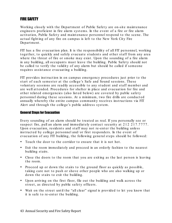# FIRE SAFETY

Working closely with the Department of Public Safety are on-site maintenance engineers proficient in fire alarm systems. In the event of a fire or fire alarm activation, Public Safety and maintenance personnel respond to the scene. The actual fighting of any fire on campus is left to the New York City Fire Depart ment .

FIT has a fire evacuation plan. It is the responsibility of all FIT personnel, working together, to quickly and safely evacuate students and other staff from any area where the threat of fire or smoke may exist. Upon the sounding of a fire alarm in any building, all occupants must leave the building. Public Safety should not be called to verify the validity of any alarm but should be called if someone requires assist ance evacuat ing a building.

FIT provides instruction in on campus emergency procedures just prior to the start of each semester at the college's Safe and Sound sessions. These voluntary sessions are readily accessible to any student and staff member and are well attended. Procedures for shelter in place and evacuation for fire and other related emergencies (also listed below) are covered by public safety personnel during these sessions. At a minimum, two fire drills are conducted annually whereby the entire campus community receives instructions via FIT Alert and through the college's public address system.

### General Steps for Evacuation

Every sounding of an alarm should be treated as real. If you personally see or suspect fire, pull an alarm and immediately contact security at 212 217.7777. Upon evacuation, residents and staff may not re-enter the building unless instructed by college personnel and/ or first responders. In the event of evacuation of any FIT building, the following general steps should be followed:

- Touch the door to the corridor to ensure that it is not hot.
- Exit the room immediately and proceed in an orderly fashion to the nearest building st airs.
- Close the doors to the room that you are exiting as the last person is leaving the room.
- Proceed up or down the stairs to the ground floor as quickly as possible, taking care not to push or shove other people who are also walking up or down the stairs to exit the building.
- Upon arriving on the first floor, file out the building and walk across the street, as directed by public safety officers.
- Wait on the street until the "all clear" signal is provided to let you know that it is safe to re-enter the building.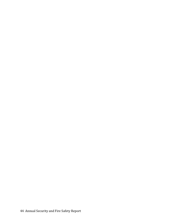44 Annual Security and Fire Safety Report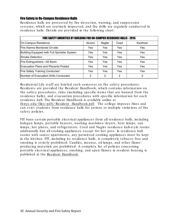### Fire Safety in On-Campus Residence Halls

Residence halls are protected by fire detection, warning, and suppression systems, which are routinely inspected, and fire drills are regularly conducted in residence halls. Details are provided in the following chart:

| <b>FIRE SAFETY AMENITIES BY BUILDING FOR ON-CAMPUS RESIDENCE HALLS - 2015</b> |        |        |      |            |  |  |  |
|-------------------------------------------------------------------------------|--------|--------|------|------------|--|--|--|
| On-Campus Residence                                                           | Alumni | Nagler | Coed | Kaufman    |  |  |  |
| Fire Alarms Monitored On-site                                                 | Yes    | Yes    | Yes  | <b>Yes</b> |  |  |  |
| Building Equipped with Full Sprinkler System                                  | Yes    | Yes    | Yes  | <b>Yes</b> |  |  |  |
| <b>Smoke Detection</b>                                                        | Yes    | Yes    | Yes  | <b>Yes</b> |  |  |  |
| Fire Extinguishers-All floors                                                 | Yes    | Yes    | Yes  | <b>Yes</b> |  |  |  |
| Evacuation Plans and Placards Posted                                          | Yes    | Yes    | Yes  | <b>Yes</b> |  |  |  |
| <b>Fire Safety Training Conducted</b>                                         | Yes    | Yes    | Yes  | <b>Yes</b> |  |  |  |
| Number of Evacuation Drills Conducted                                         | 2      | 2      | 2    | 2          |  |  |  |

Resident ial Life staff are briefed each semester on fire safety procedures. Residents are provided the Resident Handbook, which contains information on fire safety procedures, rules (including specific items that are banned from the residence halls), and evacuation procedures with specific information for each residence hall. The Resident Handbook is available online at fit nyc.edu/ files/ pdfs/ Resident Handbook.pdf. The college imposes fines and can evict students from residence halls for serious or multiple violations of fire safety policies.

FIT bans certain portable electrical appliances from all residence halls, including halogen lamps, portable heaters, washing machines/dryers, heat lamps, sun lamps, hot plates, and refrigerators. Coed and Nagler residence hall-style rooms additionally ban all cooking appliances except for hot pots. In residence hall rooms with suites/apartments, any permitted cooking appliances must be kept in the kitchen. FIT, including its residence halls, is completely tobacco free and smoking is strictly prohibited. Candles, incense, oil lamps, and other flameproducing materials are prohibited. A complete list of policies concerning port able elect rical appliances, smoking, and open flames in resident housing is published in the Resident Handbook.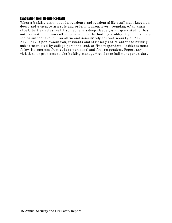### Evacuation from Residence Halls

When a building alarm sounds, residents and residential life staff must knock on doors and evacuate in a safe and orderly fashion. Every sounding of an alarm should be treated as real. If someone is a deep sleeper, is incapacitated, or has not evacuated, inform college personnel in the building's lobby. If you personally see or suspect fire, pull an alarm and immediately contact security at 212 217.7777. Upon evacuation, residents and staff may not re-enter the building unless instructed by college personnel and/ or first responders. Residents must follow instructions from college personnel and first responders. Report any violations or problems to the building manager/ residence hall manager on duty.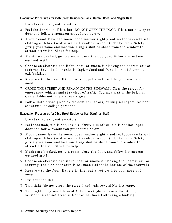### Evacuation Procedures for 27th Street Residence Halls (Alumni, Coed, and Nagler Halls)

- 1. Use stairs to exit, not elevators.
- 2. Feel the doorknob, if it is hot, DO NOT OPEN THE DOOR. If it is not hot, open door and follow evacuat ion procedures below.
- 3. If you cannot leave the room, open window slightly and seal door cracks with clothing or fabric (soak in water if available in room). Notify Public Safety, giving your name and location. Hang a shirt or sheet from the window to attract attention. Shout for help.
- 4. If exits are blocked, go to a room, close the door, and follow instructions out lined in  $#3$
- 5. Choose an alternate exit if fire, heat, or smoke is blocking the nearest exit or stairway. Use side door exits in Nagler/ Coed and front doors of Alumni to exit buildings.
- 6. Keep low to the floor. If there is time, put a wet cloth to your nose and mouth.
- 7. CROSS THE STREET AND REMAIN ON THE SIDEWALK. Clear the street for emergency vehicles and stay clear of traffic. You may wait in the Feldman Center lobby until the all-clear is given.
- 8. Follow instructions given by resident counselors, building managers, resident assistants or college personnel.

### Evacuation Procedures for 31st Street Residence Hall (Kaufman Hall)

- 1. Use stairs to exit, not elevators.
- 2. Feel doorknob, if it is hot, DO NOT OPEN THE DOOR. If it is not hot, open door and follow evacuat ion procedures below.
- 3. If you cannot leave the room, open window slightly and seal door cracks with clothing or fabric (soak in water if available in room). Not ify Public Safety, giving your name and location. Hang shirt or sheet from the window to attract attention. Shout for help.
- 4. If exits are blocked, go to a room, close the door, and follow instructions out lined in  $#3$
- 5. Choose an alternate exit if fire, heat or smoke is blocking the nearest exit or stairway. Use side door exits in Kaufman Hall at the bottom of the stairwells.
- 6. Keep low to the floor. If there is time, put a wet cloth to your nose and mouth.
- 7 . Exit Kaufman Hall.
- 8. Turn right (do not cross the street) and walk toward Ninth Avenue.
- 9. Turn right going south toward 30th Street (do not cross the street). Residents must not stand in front of Kaufman Hall during a building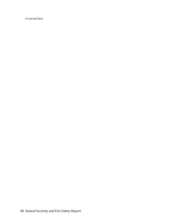evacuat ion.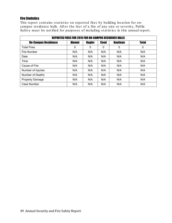### Fire Statistics

This report contains statistics on reported fires by building location for oncampus residence halls. After the fact of a fire of any size or severity, Public Safety must be not ified for purposes of including st at ist ics in t his annual report .

| <b>REPORTED FIRES FOR 2015 FOR ON-CAMPUS RESIDENCE HALLS</b> |               |               |             |                |              |  |  |  |
|--------------------------------------------------------------|---------------|---------------|-------------|----------------|--------------|--|--|--|
| <b>On-Campus Residence</b>                                   | <b>Alumni</b> | <b>Nagler</b> | <b>Coed</b> | <b>Kaufman</b> | <b>Total</b> |  |  |  |
| <b>Total Fires</b>                                           | 0             | 0             | 0           | 0              | 0            |  |  |  |
| Fire Number                                                  | N/A           | N/A           | N/A         | N/A            | N/A          |  |  |  |
| Date                                                         | N/A           | N/A           | N/A         | N/A            | N/A          |  |  |  |
| Time                                                         | N/A           | N/A           | N/A         | N/A            | N/A          |  |  |  |
| Cause of Fire                                                | N/A           | N/A           | N/A         | N/A            | N/A          |  |  |  |
| Number of Injuries                                           | N/A           | N/A           | N/A         | N/A            | N/A          |  |  |  |
| Number of Deaths                                             | N/A           | N/A           | N/A         | N/A            | N/A          |  |  |  |
| <b>Property Damage</b>                                       | N/A           | N/A           | N/A         | N/A            | N/A          |  |  |  |
| Case Number                                                  | N/A           | N/A           | N/A         | N/A            | N/A          |  |  |  |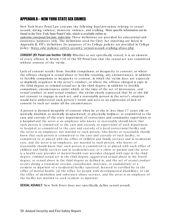# APPENDIX A – NEW YORK STATE SEX CRIMES

New York State Penal Law contains the following legal provisions relating to sexual assault, dating violence, domestic violence, and stalking. More specific information can be found in the New York State Penal Code, which is available online at:

ypdcrime.com/penal.law/part\_index.htm. These definitions are provided for educational and awareness purposes only. The definitions used for Clery Act reporting are listed in Appendix B. FIT's definitions for purposes of its College policies are provided in College policy: fit nyc.e du/ policie s / s afe t y-s e curit y/ s e xual-as s ault -s t alking-abuse.php.

CONSENT (NY Penal Law Section 130.05): Whether or not specifically stated, it is an element of every offense in Article 130 of the NY Penal Law that the sexual act was committed without consent of the victim

Lack of consent results from: forcible compulsion; or incapacity to consent; or where the offense charged is sexual abuse or forcible touching, any circumstances, in addition to forcible compulsion or incapacity to consent, in which the victim does not expressly or impliedly acquiesce in the actor's conduct; or where the offense charged is rape in the third degree or criminal sexual act in the third degree, in addition to forcible compulsion, circum stances under which, at the time of the act of intercourse, oral sexual conduct or anal sexual conduct, the victim clearly expressed that he or she did not consent to engage in such act, and a reasonable person in the actor's situation would have understood such person's words and acts as an expression of lack of consent to such act under all the circum stances.

A person is deemed incapable of consent when he or she is: less than 17 years old; or mentally disabled; or mentally incapacitated; or physically helpless; or committed to the care and custody of the state department of corrections and community supervision or a hospital and the actor is an employee who knows or reasonably should know that such person is committed to the care and custody or supervision of such department or hospital; or committed to the care and custody of a local correctional facility and the actor is an employee, not married to such person, who knows or reasonably should know that such person is committed to the care and custody of such facility; or committed to or placed with the office of children and family services and in residential care, and the actor is an employee, not married to such person, who knows or reasonably should know that such person is committed to or placed with such office of children and family services and in residential care; or a client or patient and the actor is a health care provider or mental health care provider charged with rape in the third degree, criminal sexual act in the third degree, aggravated sexual abuse in the fourth degree, or sexual abuse in the third degree as defined in, and the act of sexual conduct occurs during a treatment session, consultation, interview, or examination; or a resident or inpatient of a residential facility operated, licensed or certified by (i) the office of mental health; (ii) the office for people with developmental disabilities; or (iii) the office of alcoholism and substance abuse services, and the actor is an employee of the facility not married to such resident or inpatient.

**SEXUAL ASSAULT:** New York State does not specifically define sexual assault.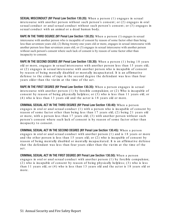**SEXUAL MISCONDUCT (NY Penal Law Section 130.20):** When a person (1) engages in sexual intercourse with another person without such person's consent; or  $(2)$  engages in oral s exual conduct or anal s exual conduct without such person's consent; or (3) engages in sexual conduct with an animal or a dead human body.

RAPE IN THE THIRD DEGREE (NY Penal Law Section 130.25): When a person (1) engages in sexual intercourse with another person who is incapable of consent by reason of some factor other than being less than seventeen years old; (2) Being twenty-one years old or more, engages in sexual intercourse with another person less than seventeen years old; or (3) engages in sexual intercourse with another person without such person's consent where such lack of consent is by reason of some factor other than incapacity to consent.

RAPE IN THE SECOND DEGREE (NY Penal Law Section 130.30): When a person (1) being 18 years old or more, engages in sexual intercourse with another person less than 15 years old; or  $(2)$  engages in sexual intercourse with another person who is incapable of consent by reason of being mentally disabled or mentally incapacitated. It is an affirmative de fense to the crime of rape in the second degree the defendant was less than four years older than the victim at the time of the act.

RAPE IN THE FIRST DEGREE (NY Penal Law Section 130.35): When a person engages in sexual intercourse with another person  $(1)$  by forcible compulsion; or  $(2)$  Who is incapable of consent by reason of being physically helpless; or (3) who is less than 11 years old; or (4) who is less than 13 years old and the actor is 18 years old or more.

CRIMINAL SEXUAL ACT IN THE THIRD DEGREE (NY Penal Law Section 130.40): When a person engages in oral or anal sexual conduct  $(1)$  with a person who is incapable of consent by reason of some factor other than being less than 17 years old; (2) being 21 years old or more, with a person less than 17 years old; (3) with another person without such person's consent where such lack of consent is by reason of some factor other than incapacity to consent.

CRIMINAL SEXUAL ACT IN THE SECOND DEGREE (NY Penal Law Section 130.45): When a person engages in oral or anal sexual conduct with another person  $(1)$  and is 18 years or more and the other person is less than 15 years old; or  $(2)$  who is incapable of consent by reason of being mentally disabled or mentally incapacitated. It is an affirmative defense that the defendant was less than four years older than the victim at the time of the act.

CRIMINAL SEXUAL ACT IN THE FIRST DEGREE (NY Penal Law Section 130.50): When a person engages in oral or anal sexual conduct with another person  $(1)$  by forcible compulsion;  $(2)$  who is incapable of consent by reason of being physically helpless;  $(3)$  who is less than 11 years old; or  $(4)$  who is less than 13 years old and the actor is 18 years old or more.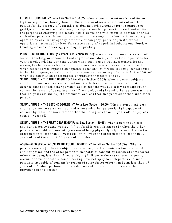FORCIBLE TOUCHING (NY Penal Law Section 130.52): When a person intentionally, and for no legit imate purpose, forcibly touches the sexual or other intimate parts of another person for the purpose of degrading or abusing such person; or for the purpose of gratifying the actor's sexual desire; or subjects another person to sexual contact for the purpose of gratifying the actor's sexual desire and with intent to degrade or abuse such other person while such other person is a passenger on a bus, train, or subway car operated by any transit agency, authority or company, public or private, whose operation is authorized by New York state or any of its political subdivisions. Forcible touching includes squeezing, grabbing, or pinching.

PERSISTENT SEXUAL ABUSE (NY Penal Law Section 130.53): When a person commits a crime of forcible touching, or second or third degree sexual abuse, and, within the previous ten year period, excluding any time during which such person was incarcerated for any reason, has been convicted two or more times, in separate criminal transactions for which sentence was imposed on separate occasions, of forcible touching, sexual abuse in the third degree, sexual abuse in the second degree, or any offense in Article 130, of which the commission or attempted commission thereof is a felony.

SEXUAL ABUSE IN THE THIRD DEGREE (NY Penal Law Section 130.55): When a person subjects another person to sexual contact without the latter's consent. It is an affirmative de fense that (1) such other person's lack of consent was due solely to incapacity to consent by reason of being less than  $17$  years old; and  $(2)$  such other person was more than 14 years old and  $(3)$  the defendant was less than five years older than such other person.

SEXUAL ABUSE IN THE SECOND DEGREE (NY Penal Law Section 130.60): When a person subjects another person to sexual contact and when such other person is (1) incapable of consent by reason of some factor other than being less than  $17$  years old; or  $(2)$  less than 14 years old.

SEXUAL ABUSE IN THE FIRST DEGREE (NY Penal Law Section 130.65): When a person subjects another person to sexual contact  $(1)$  by forcible compulsion; or  $(2)$  when the other person is incapable of consent by reason of being physically helpless; or (3) when the other person is less than  $11$  years old; or  $(4)$  when the other person is less than  $13$ years old and the actor it 21 years old or older.

AGGRAVATED SEXUAL ABUSE IN THE FOURTH DEGREE (NY Penal Law Section 130.65-a): When a person inserts a (1) foreign object in the vagina, ure thra, penis, rectum or anus of another person and the other person is incapable of consent by reason of some factor other than being less than 17 years old; or  $(2)$  finger in the vagina, ure thra, penis, rectum or anus of another person causing physical injury to such person and such person is incapable of consent by reason of some factor other than being less than 17 years old. Conduct performed for a valid medical purpose does not violate the provisions of this section.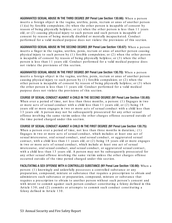AGGRAVATED SEXUAL ABUSE IN THE THIRD DEGREE (NY Penal Law Section 130.66): When a person inserts a foreign object in the vagina, ure thra, penis, rectum or anus of another person  $(1)(a)$  by forcible compulsion; (b) when the other person is incapable of consent by reason of being physically helpless; or (c) when the other person is less than 11 years old; or  $(2)$  causing physical injury to such person and such person is incapable of consent by reason of being mentally disabled or mentally incapacitated. Conduct performed for a valid medical purpose does not violate the provisions of this section.

AGGRAVATED SEXUAL ABUSE IN THE SECOND DEGREE (NY Penal Law Section 130.67): When a person inserts a finger in the vagina, urethra, penis, rectum or anus of another person causing physical injury to such person by  $(1)$  forcible compulsion; or  $(2)$  when the other person is incapable of consent by reason of being physically helpless; or  $(3)$  when the other person is less than 11 years old. Conduct performed for a valid medical purpose does not violate the provisions of this section.

AGGRAVATED SEXUAL ABUSE IN THE FIRST DEGREE (NY Penal Law Section 130.70): When a person inserts a foreign object in the vagina, ure thra, penis, rectum or anus of another person causing physical injury to such person by  $(1)$  forcible compulsion; or  $(2)$  when the other person is incapable of consent by reason of being physically helpless; or (3) when the other person is less than 11 years old. Conduct performed for a valid medical purpose does not violate the provisions of this section.

COURSE OF SEXUAL CONDUCT AGAINST A CHILD IN THE SECOND DEGREE (NY Penal Law Section 130.80): When over a period of time, not less than three months, a person:  $(1)$  Engages in two or more acts of sexual conduct with a child less than 11 years old; or (2) being 18 years old or more engages in two or more acts of sexual conduct with a child less than 13 years old. A person may not be subsequently prosecuted for any other sexual offense involving the same victim unless the other charges offense occurred outside of the time period charged under this section.

COURSE OF SEXUAL CONDUCT AGAINST A CHILD IN THE FIRST DEGREE (NY Penal Law Section 130.75):

When a person over a period of time, not less than three months in duration,:  $(1)$ Engages in two or more acts of sexual conduct, which includes at least one act of s exual intercourse, oral sexual conduct, anal sexual conduct, or aggravated sexual contact, with a child less than 11 years old; or (2) being 18 years old or more engages in two or more acts of sexual conduct, which include at least one act of sexual intercourse, oral sexual conduct, anal sexual conduct, or aggravated sexual contact, with a child less than 13 years old. A person may not be subsequently prosecuted for any other sexual offense involving the same victim unless the other charges offense occurred outside of the time period charged under this section.

FACILITATING A SEX OFFENSE WITH A CONTROLLED SUBSTANCE (NY Penal Law Section 130.90): When a person: (1) knowingly and unlawfully possesses a controlled substance or any preparation, compound, mixture or substance that requires a prescription to obtain and administers such substance or preparation, compound, mixture or substance that requires a prescription to obtain to another person without such person's consent and with intent to commit against such person conduct constituting a felony defined in this Article 130; and (2) commits or attempts to commit such conduct constituting a fe lony de fine d in Art icle 1 3 0 .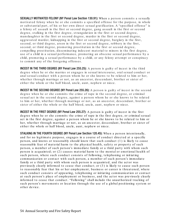**SEXUALLY MOTIVATED FELONY (NY Penal Law Section 130.91):** When a person commits a sexually motivated felony when he or she commits a specified offense for the purpose, in whole or substantial part, of his or her own direct sexual gratification. A "specified offense" is a felony of: assault in the first or second degree, gang assault in the first or second degree, stalking in the first degree, strangulation in the first or second degree, mans laughter in the first or second degree, murder in the first or second degree, aggravated murder, kidnapping in the first or second degree, burglary in the first, second, or third degree, arson in the first or second degree, robbery in the first, second, or third degree, promoting prostitution in the first or second degree, compelling prostitution, disseminating indecent material to minors in the first degree, use of a child in a sexual performance, promoting an obscene sexual performance by a child, promoting a sexual performance by a child, or any felony attempt or conspiracy to commit any of the foregoing offenses.

**INCEST IN THE THIRD DEGREE (NY Penal Law 255.25):** A person is guilty of incest in the third degree when he or she marries or engages in sexual intercourse, oral sexual conduct or anal sexual conduct with a person whom he or she knows to be related to him or her, whether through marriage or not, as an ancestor, descendant, brother or sister of either the whole or the half blood, uncle, aunt, nephew or niece.

**INCEST IN THE SECOND DEGREE (NY Penal Law 255.26):** A person is guilty of incest in the second degree when he or she commits the crime of rape in the second degree, or criminal sexual act in the second degree, against a person whom he or she knows to be related to him or her, whe the r through marriage or not, as an ancestor, descendant, brother or sister of either the whole or the half blood, uncle, aunt, nephew or niece.

**INCEST IN THE FIRST DEGREE (NY Penal Law 255.27):** A person is guilty of incest in the first degree when he or she commits the crime of rape in the first degree, or criminal sexual act in the first degree, against a person whom he or she knows to be related to him or her, whe ther through marriage or not, as an ancestor, descendant, brother or sister of either the whole or half blood, uncle, aunt, nephew or niece.

STALKING IN THE FOURTH DEGREE (NY Penal Law Section 120.45): When a person intentionally, and for no legitimate purpose, engages in a course of conduct directed at a specific person, and knows or reasonably should know that such conduct  $(1)$  is likely to cause reasonable fear of material harm to the physical health, safety or property of such person, a member of such person's immediate family or a third party with whom such person is acquainted; or (2) causes material harm to the mental or emotional health of such person, where such conduct consists of following, telephoning or initiating communication or contact with such person, a member of such person's immediate family or a third party with whom such person is acquainted, and the actor was previously clearly informed to cease that conduct; or  $(3)$  is likely to cause such person to reasonably fear that his or her employment, business or career is threatened, where such conduct consists of appearing, telephoning or initiating communication or contact at such person's place of employment or business, and the actor was previously clearly informed to cease that conduct. "Following" shall include the unauthorized tracking of such person's movements or location through the use of a global positioning system or other device.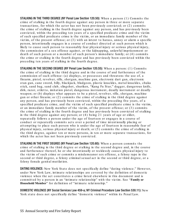**STALKING IN THE THIRD DEGREE (NY Penal Law Section 120.50):** When a person (1) Commits the crime of stalking in the fourth degree against any person in three or more separate trans actions, for which the actor has not been previously convicted; or (2) commits the crime of stalking in the fourth degree against any person, and has previously been convicted, within the preceding ten years of a specified predicate crime and the victim of such specified predicate crime is the victim, or an immediate family member of the victim, of the present offense; or  $(3)$  with an intent to harass, annoy or alarm a specific person, intentionally engages in a course of conduct directed at such person which is likely to cause such person to reasonably fear physical injury or serious physical injury, the commission of a sex offense against, or the kidnapping, unlawful imprisonment or death of such person or a member of such person's immediate family; or (4) commits the crime or stalking in the fourth degree and has previously been convicted within the preceding ten years of stalking in the fourth degree.

STALKING IN THE SECOND DEGREE (NY Penal Law Section 120.55): When a person: (1) Commits the crime of stalking in the third degree and in the course of and furtherance of the commission of such offense: (a) displays, or possesses and threatens the use of, a fire arm, pistol, revolver, rifle, shot gun, machine gun, electronic dart gun, electronic stun gun, cane sword, billy, blackjack, bludge on, plastic knuckles, met al knuckles, chuka stick, sand bag, sand club, slingshot, shuriken, "Kung Fu Star," dagger, dangerous knife, dirk, razor, stiletto, imitation pistol, dangerous instrument, deadly instrument or deadly weapon; or (b) displays what appears to be a pistol, revolver, rifle, shot gun, machine gun or other fire arm; or  $(2)$  commits the crime of stalking in the third degree against any person, and has previously been convicted, within the preceding five years, of a specified predicate crime, and the victim of such specified predicate crime is the victim, or an immediate family member of the victim, of the present offense; or (3) commits the crime of stalking in the fourth degree and has previously been convicted of stalking in the third degree against any person; or  $(4)$  being 21 years of age or older, repeatedly follows a person under the age of fourteen or engages in a course of conduct or repeatedly commits acts over a period of time intentionally placing or at t empting to place such person who is under the age of fourteen in reasonable fear of physical injury, serious physical injury or death; or (5) commits the crime of stalking in the third degree, against ten or more persons, in ten or more separate transactions, for which the actor has not been previously convicted.

STALKING IN THE FIRST DEGREE (NY Penal Law Section 120.60): When a person commits the crime of stalking in the third degree or stalking in the second degree and, in the course and furtherance thereof, he or she intentionally or recklessly causes physical injury to the victim of such crime or commits a misdemeanor sex offense, a felony rape in the second or third degree, a felony criminal sexual act in the second or third degree, or a fe lony fe m ale ge nit al m ut ilat ion.

DATING VIOLENCE: New York State does not specifically define "dating violence." However, under New York Law, intimate relationships are covered by the definition of domestic violence when the act constitutes a crime listed elsewhere in this document and is committed by a person in an "intimate relationship" with the victim. See "Family or Household Member" for definition of "intimate relationship."

DOMESTIC VIOLENCE (NY Social Services Law 459-a; NY Criminal Procedure Law Section 530.11): Ne w York state does not specifically define "domestic violence" within its Penal Law.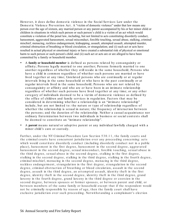However, it does define domestic violence in the Social Services Law under the Dom est ic Violence Prevention Act. A "victim of domestic violence" under that law means any person over the age of sixteen, any married person or any parent accompanied by his or her minor child or children in situations in which such person or such person's child is a victim of an act which would constitute a violation of the penal law, including, but not limited to acts constituting disorderly conduct, harassment, aggravated harassment, sexual misconduct, forcible touching, sexual abuse, stalking, criminal mischief, menacing, reckless endangerment, kidnapping, assault, attempted assault, attempted murder, criminal obstruction of breathing or blood circulation, or strangulation; and (i) such act or acts have resulted in actual physical or emotional injury or have created a substantial risk of physical or emotional harm to such person or such person's child; and (ii) such act or acts are or are alleged to have been committed by a family or household member.

- A **family or household member** is defined as persons related by consanguinity or affinity; Persons legally married to one another; Persons formerly married to one another regardless of whether they still reside in the same household; Persons who have a child in common regardless of whether such persons are married or have lived together at any time; Unrelated persons who are continually or at regular intervals living in the same household or who have in the past continually or at regular intervals lived in the same household; Persons who are not related by consanguinity or affinity and who are or have been in an intimate relationship regardless of whether such persons have lived together at any time; or any other category of individuals deemed to be a victim of domestic violence as defined by the office of children and family services in regulation. Factors that may be considered in determining whether a relationship is an "intimate relationship" include, but are not limited to: the nature or type of relationship regardless of whether the relationship is sexual in nature; the frequency of interaction between the persons; and the duration of the relationship. Neither a casual acquaintance nor ordinary fraternization between two individuals in business or social contexts shall be deemed to constitute an "intimate relationship".
- A parent means natural or adoptive parent or any individual lawfully charged with a m inor child's care or custody.

Further, under the NY Criminal Procedure Law Section 530.11, the family courts and the criminal courts have concurrent jurisdiction over any proceeding concerning: acts which would constitute disorderly conduct (including disorderly conduct not in a public place), harassment in the first degree, harassment in the second degree, aggravated haras sment in the second degree, sexual misconduct, for cible touching, sexual abuse in the third degree, sexual abuse in the second degree, stalking in the first degree. stalking in the second degree, stalking in the third degree, stalking in the fourth degree, criminal mischief, menacing in the second degree, menacing in the third degree, reckless endangerment, strangulation in the first degree, strangulation in the second degree, criminal obstruction of breathing or blood circulation, assault in the second degree, assault in the third degree, an attempted assault, identity theft in the first degree, identity theft in the second degree, identity theft in the third degree, grand larceny in the fourth degree, grand larceny in the third degree or coercion in the second degree, between spouses or former spouses, or between parent and child, or bet ween members of the same family or household except that if the respondent would not be criminally responsible by reason of age, then the family court shall have exclusive jurisdiction over such proceeding. Not withstanding a complainant's election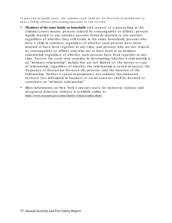to proceed in family court, the criminal court shall not be divested of jurisdiction to hear a family offense proceeding pursuant to this section.

- Members of the same family or household with respect to a proceeding in the criminal courts means: persons related by consanguinity or affinity; persons legally married to one another; persons formerly married to one another regardless of whether they still reside in the same household; persons who have a child in common, regardless of whether such persons have been married or have lived together at any time; and persons who are not related by consanguinity or affinity and who are or have been in an intimate relationship regardless of whether such persons have lived together at any time. Factors the court may consider in determining whether a relationship is an "intimate relationship" include but are not limited to: the nature or type of relat ionship, regardless of whet her t he relat ionship is sexual in nat ure; t he frequency of interaction between the persons; and the duration of the relationship. Neither a casual acquaintance nor ordinary fraternization bet ween two individuals in business or social contexts shall be deemed to constitute an "intimate relationship".
- More information on New York's special courts for domestic violence and int egrat ed domest ic violence is available online at : https://www.nycourts.gov/courts/family-violence/index.shtml.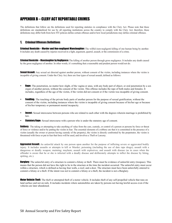# APPENDIX B – CLERY ACT REPORTABLE CRIMES

The definitions that follow are the definitions used for reporting statistics in compliance with the Clery Act. Please note that these definitions are standardized for use by all reporting institutions across the country to comply with the Clery Act; therefore, these definitions may differ both from how FIT policies define certain offenses and/or how local jurisdictions may define criminal offenses.

### 1. Criminal Offenses Definitions

**Criminal Homicide – Murder and Non-negligent Manslaughter:** The willful (non-negligent) killing of one human being by another. It includes any death caused by injuries received in a fight, argument, quarrel, assault, or the commission of a crime.

**Criminal Homicide – Manslaughter by Negligence:** The killing of another person through gross negligence. It includes any death caused by the gross negligence of another. In other words, it's something that a reasonable and prudent person would not do.

**Sexual Assault:** Any sexual act directed against another person, without consent of the victim, including instances where the victim is incapable of giving consent. Under the Clery Act, there are four types of sexual assault, defined as follows:

- **Rape:** The penetration, no matter how slight, of the vagina or anus, with any body part of object, or oral penetration by a sex organ of another person, without the consent of the victim. This offense includes the rape of both males and females. It includes, regardless of the age of the victim, if the victim did not consent or if the victim was incapable of giving consent.
- **Fondling**: The touching of the private body parts of another person for the purpose of sexual gratification, without the consent of the victim, including instances where the victim is incapable of giving consent because of his/her age or because of his/her temporary or permanent mental incapacity.
- **Incest**: Sexual intercourse between persons who are related to each other with the degrees wherein marriage is prohibited by law.
- **Statutory Rape:** Sexual intercourse with a person who is under the statutory age of consent.

Robbery: The taking or attempting to take anything of value from the care, custody, or control of a person or persons by force or threat of force or violence and/or by putting the victim in fear. The essential elements of a robbery are that it is committed in the presence of a victim (usually the owner or person having custody of the property), the victim is directly confronted by the perpetrator, the victim is threatened with force or put in fear that force will be used, and involves a Theft or Larceny.

**Aggravated Assault:** An unlawful attack by one person upon another for the purpose of inflicting severe or aggravated bodily injury. It includes assaults or attempts to kill or Murder; poisoning (including the use of date rape drugs); assault with a dangerous or deadly weapon; maiming; mayhem; assault with explosives; and assault with disease (as in cases when the offender is aware that he or she is infected with a deadly disease and deliberately attempts to inflict the disease by biting, spitting, etc.).

**Burglary:** The unlawful entry of a structure to commit a felony or theft. There must be evidence of unlawful entry (trespass). This means that the person did not have the right to be in the structure at the time the incident occurred. The unlawful entry must occur within a structure, which is defined as having four walls, a roof, and a door. The structure must have been unlawfully entered to commit a felony or a theft. If the intent was not to commit a felony or a theft, the incident is not a Burglary.

**Motor Vehicle Theft:** The theft or attempted theft of a motor vehicle. It includes theft of any self-propelled vehicle that runs on land surface and not on rails. It includes incidents where automobiles are taken by persons not having lawful access even if the vehicles are later abandoned.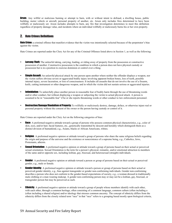Arson**:** Any willful or malicious burning or attempt to burn, with or without intent to defraud, a dwelling house, public building, motor vehicle or aircraft, personal property of another, etc. Arson only includes fires determined to have been willfully or maliciously set. Arson includes attempts to burn, any fire that investigation determines to meet this definition regardless of property damage value, and incidents where an individual willfully or maliciously burns his or her own property.

### 2. Hate Crimes Definitions

**Hate Crime:** a criminal offense that manifest evidence that the victim was intentionally selected because of the perpetrator's bias against the victim.

Hate Crimes are reported under the Clery Act for any of the Criminal Offenses listed above in Section 1, as well as the following:

- **Larceny-Theft:** The unlawful taking, carrying, leading, or riding away of property from the possession or constructive possession of another. Constructive possession is the condition in which a person does not have physical custody or possession but is in a position to exercise dominion or control over a thing.
- **Simple Assault:** An unlawful physical attack by one person upon another where neither the offender displays a weapon, nor the victim suffers obvious severe or aggravated bodily injury involving apparent broken bones, loss of teeth, possible internal injury, severe laceration, or loss of consciousness. It includes all assaults that do not involve the use of a firearm, knife, cutting instrument or other dangerous weapon, and in which the victim did not sustain serious or aggravated injuries.
- **Intimidation:** To unlawfully place another person in reasonable fear of bodily harm through the use of threatening words and/or other conduct, but without displaying a weapon or subjecting the victim to actual physical attack. A person is assumed to be in "reasonable fear" if he or she reports threatening words or other conduct to law enforcement personnel.
- **Destruction/Damage/Vandalism of Property:** To willfully or maliciously destroy, damage, deface, or otherwise injure real or personal property without the consent of the owner or the person having custody or control of it.

Hate Crimes are reported under the Clery Act on the following categories of bias:

- **Race:** A preformed negative attitude toward a group of persons who possess common physical characteristics, e.g., color of skin, eyes, and/or hair; facial features, etc., genetically transmitted by descent and heredity which distinguish them as a distinct division of humankind, e.g., Asians, blacks or African Americans, whites.
- **Religion:** A preformed negative opinion or attitude toward a group of persons who share the same religious beliefs regarding the origin and purpose of the universe and the existence or nonexistence of a supreme being, e.g., Catholics, Jews, Protestants, atheists.
- **Sexual Orientation**: A preformed negative opinion or attitude toward a group of persons based on their actual or perceived sexual orientation. Sexual Orientation is the term for a person's physical, romantic, and/or emotional attraction to members of the same and/or opposite sex, including lesbian, gay, bisexual, and heterosexual (straight) individuals.
- **Gender**: A preformed negative opinion or attitude toward a person or group of persons based on their actual or perceived gender, e.g., male or female.
- **Gender Identity**: A preformed negative opinion or attitude toward a person or group of persons based on their actual or perceived gender identity, e.g., bias against transgender or gender non-conforming individuals. Gender non-conforming describes a person who does not conform to the gender-based expectations of society, e.g., a woman dressed in traditionally male clothing or a man wearing makeup. A gender non-conforming person may or may not be a lesbian, gay, bisexual, or transgender person but may be perceived as such.
- **Ethnicity**: A preformed negative opinion or attitude toward a group of people whose members identify with each other, with each other, through a common heritage, often consisting of a common language, common culture (often including a (often including a shared religion) and/or ideology that stresses common ancestry. The concept of ethnicity differs from the ethnicity differs from the closely related term "race" in that "race" refers to a grouping based mostly upon biological criteria,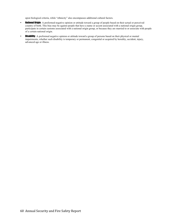upon biological criteria, while "ethnicity" also encompasses additional cultural factors.

- National Origin: A preformed negative opinion or attitude toward a group of people based on their actual or perceived country of birth. This bias may be against people that have a name or accent associated with a national origin group, participate in certain customs associated with a national origin group, or because they are married to or associate with people of a certain national origin.
- **Disability**: A preformed negative opinion or attitude toward a group of persons based on their physical or mental impairments, whether such disability is temporary or permanent, congenital or acquired by heredity, accident, injury, advanced age or illness.